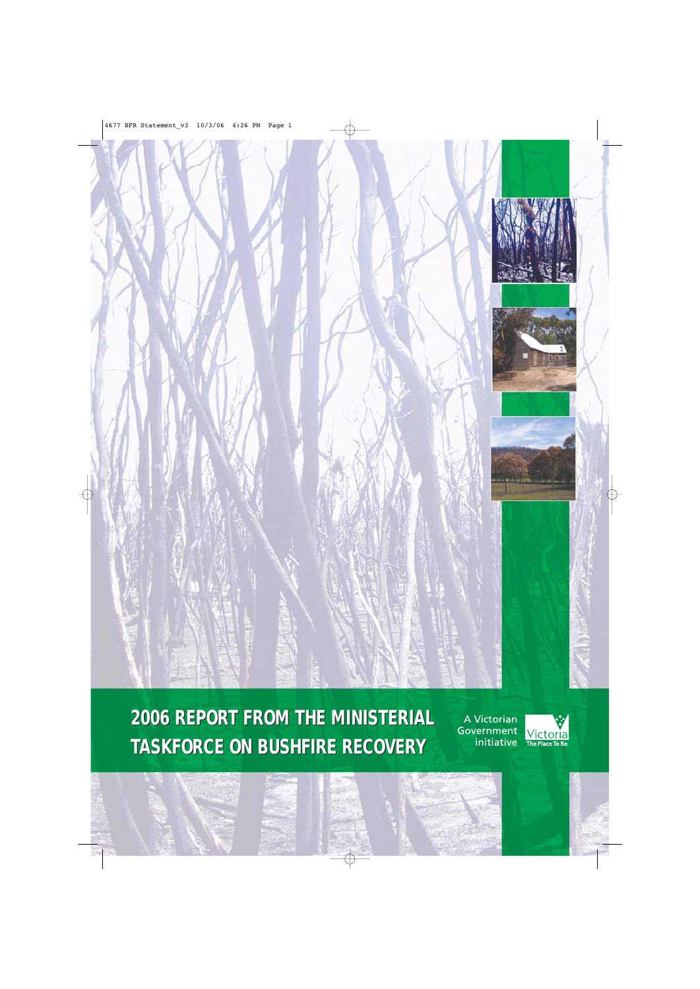

**2006 REPORT FROM THE MINISTERIAL 2006 REPORT FROM THE MINISTERIAL TASKFORCE ON BUSHFIRE RECOVERY TASKFORCE ON BUSHFIRE RECOVERY** 

A Victorian Government initiative

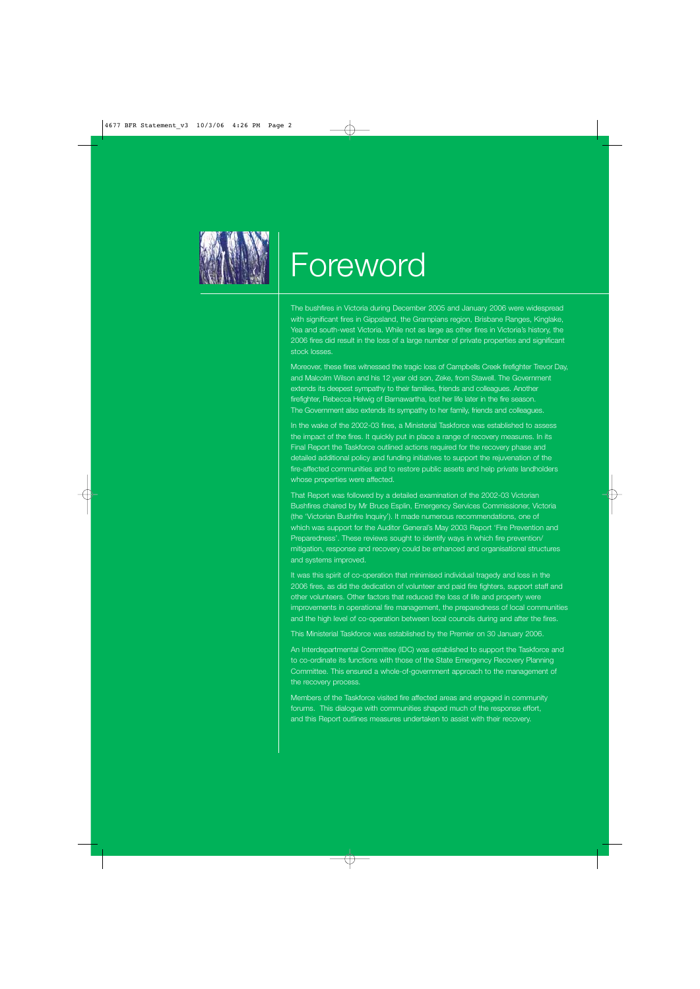

# **Foreword**

The bushfires in Victoria during December 2005 and January 2006 were widespread with significant fires in Gippsland, the Grampians region, Brisbane Ranges, Kinglake, Yea and south-west Victoria. While not as large as other fires in Victoria's history, the 2006 fires did result in the loss of a large number of private properties and significant stock losses.

Moreover, these fires witnessed the tragic loss of Campbells Creek firefighter Trevor Day, and Malcolm Wilson and his 12 year old son, Zeke, from Stawell. The Government extends its deepest sympathy to their families, friends and colleagues. Another firefighter, Rebecca Helwig of Barnawartha, lost her life later in the fire season. The Government also extends its sympathy to her family, friends and colleagues.

In the wake of the 2002-03 fires, a Ministerial Taskforce was established to assess the impact of the fires. It quickly put in place a range of recovery measures. In its Final Report the Taskforce outlined actions required for the recovery phase and detailed additional policy and funding initiatives to support the rejuvenation of the fire-affected communities and to restore public assets and help private landholders whose properties were affected.

That Report was followed by a detailed examination of the 2002-03 Victorian Bushfires chaired by Mr Bruce Esplin, Emergency Services Commissioner, Victoria (the 'Victorian Bushfire Inquiry'). It made numerous recommendations, one of which was support for the Auditor General's May 2003 Report 'Fire Prevention and Preparedness'. These reviews sought to identify ways in which fire prevention/ mitigation, response and recovery could be enhanced and organisational structures and systems improved.

It was this spirit of co-operation that minimised individual tragedy and loss in the 2006 fires, as did the dedication of volunteer and paid fire fighters, support staff and other volunteers. Other factors that reduced the loss of life and property were improvements in operational fire management, the preparedness of local communities and the high level of co-operation between local councils during and after the fires.

This Ministerial Taskforce was established by the Premier on 30 January 2006.

An Interdepartmental Committee (IDC) was established to support the Taskforce and to co-ordinate its functions with those of the State Emergency Recovery Planning Committee. This ensured a whole-of-government approach to the management of the recovery process.

Members of the Taskforce visited fire affected areas and engaged in community forums. This dialogue with communities shaped much of the response effort, and this Report outlines measures undertaken to assist with their recovery.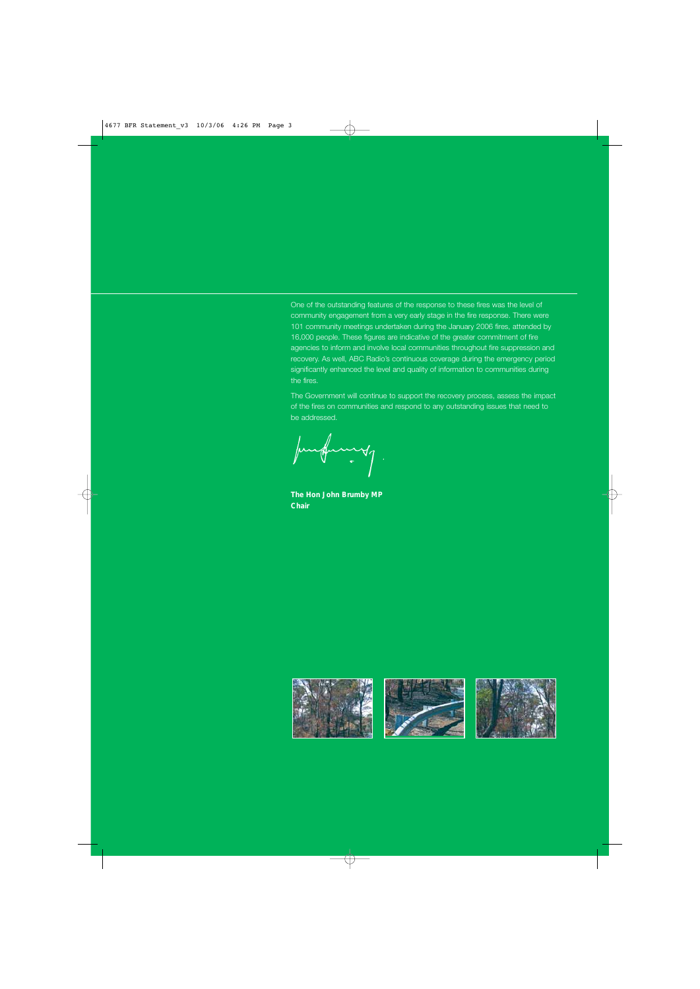One of the outstanding features of the response to these fires was the level of community engagement from a very early stage in the fire response. There were 101 community meetings undertaken during the January 2006 fires, attended by 16,000 people. These figures are indicative of the greater commitment of fire agencies to inform and involve local communities throughout fire suppression and recovery. As well, ABC Radio's continuous coverage during the emergency period significantly enhanced the level and quality of information to communities during the fires.

The Government will continue to support the recovery process, assess the impact of the fires on communities and respond to any outstanding issues that need to be addressed.

**The Hon John Brumby MP Chair**

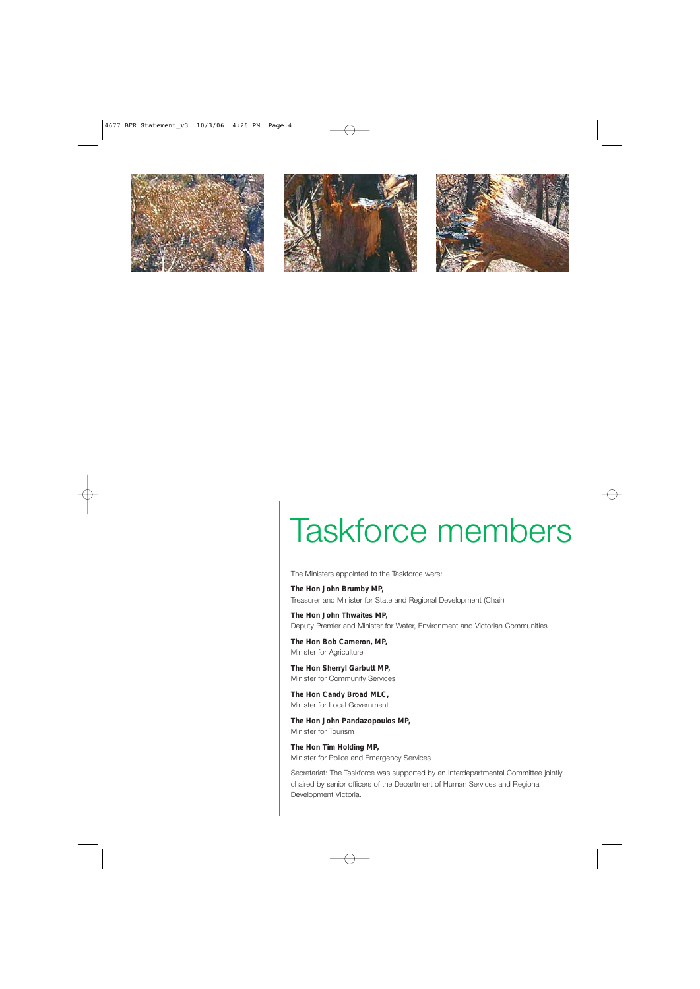





# Taskforce members

The Ministers appointed to the Taskforce were:

**The Hon John Brumby MP,**  Treasurer and Minister for State and Regional Development (Chair)

**The Hon John Thwaites MP,**  Deputy Premier and Minister for Water, Environment and Victorian Communities

**The Hon Bob Cameron, MP,**  Minister for Agriculture

**The Hon Sherryl Garbutt MP,**  Minister for Community Services

**The Hon Candy Broad MLC,**  Minister for Local Government

**The Hon John Pandazopoulos MP,**  Minister for Tourism

**The Hon Tim Holding MP,**  Minister for Police and Emergency Services

Secretariat: The Taskforce was supported by an Interdepartmental Committee jointly chaired by senior officers of the Department of Human Services and Regional Development Victoria.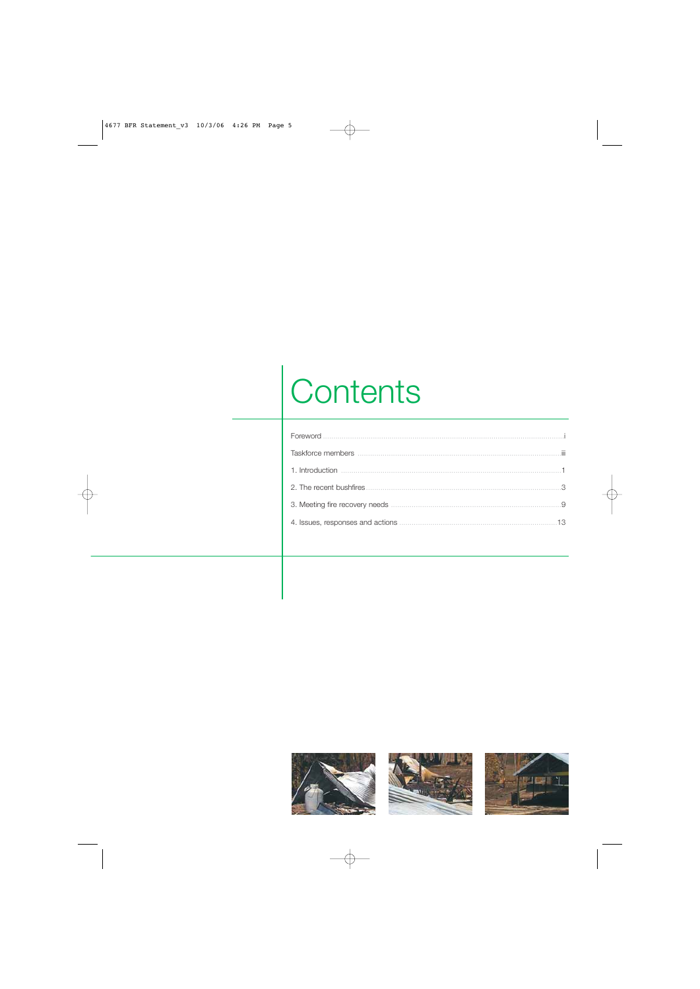# Contents

| Foreword |   |
|----------|---|
|          | Ш |
|          |   |
|          |   |
|          |   |
|          |   |
|          |   |

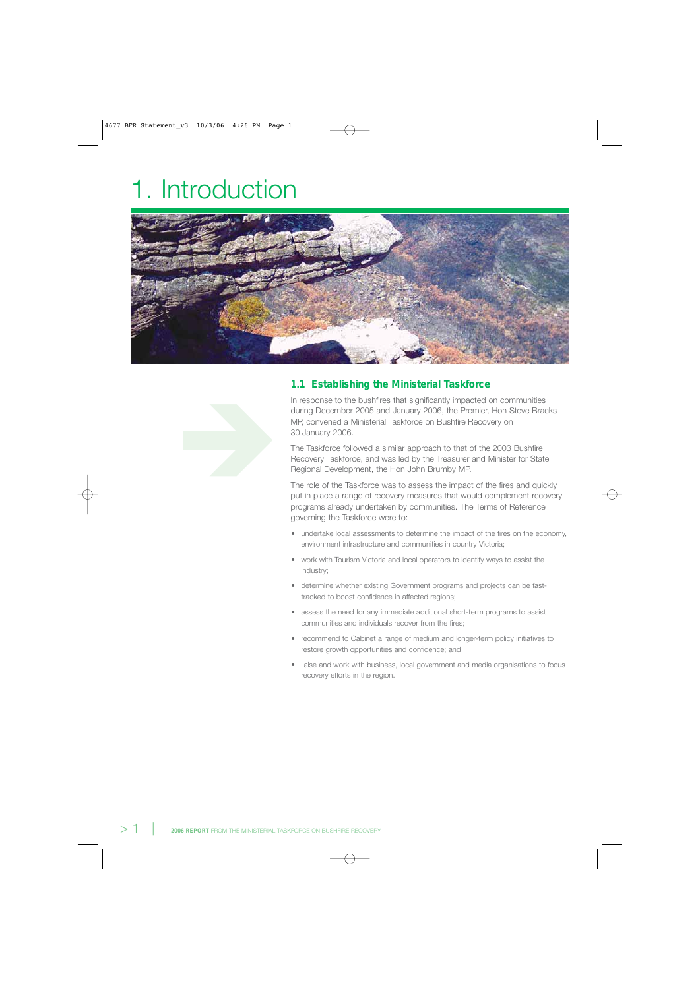# 1. Introduction



# **1.1 Establishing the Ministerial Taskforce**

In response to the bushfires that significantly impacted on communities during December 2005 and January 2006, the Premier, Hon Steve Bracks MP, convened a Ministerial Taskforce on Bushfire Recovery on 30 January 2006.

The Taskforce followed a similar approach to that of the 2003 Bushfire Recovery Taskforce, and was led by the Treasurer and Minister for State Regional Development, the Hon John Brumby MP.

The role of the Taskforce was to assess the impact of the fires and quickly put in place a range of recovery measures that would complement recovery programs already undertaken by communities. The Terms of Reference governing the Taskforce were to:

- undertake local assessments to determine the impact of the fires on the economy, environment infrastructure and communities in country Victoria;
- work with Tourism Victoria and local operators to identify ways to assist the industry;
- determine whether existing Government programs and projects can be fasttracked to boost confidence in affected regions;
- assess the need for any immediate additional short-term programs to assist communities and individuals recover from the fires;
- recommend to Cabinet a range of medium and longer-term policy initiatives to restore growth opportunities and confidence; and
- liaise and work with business, local government and media organisations to focus recovery efforts in the region.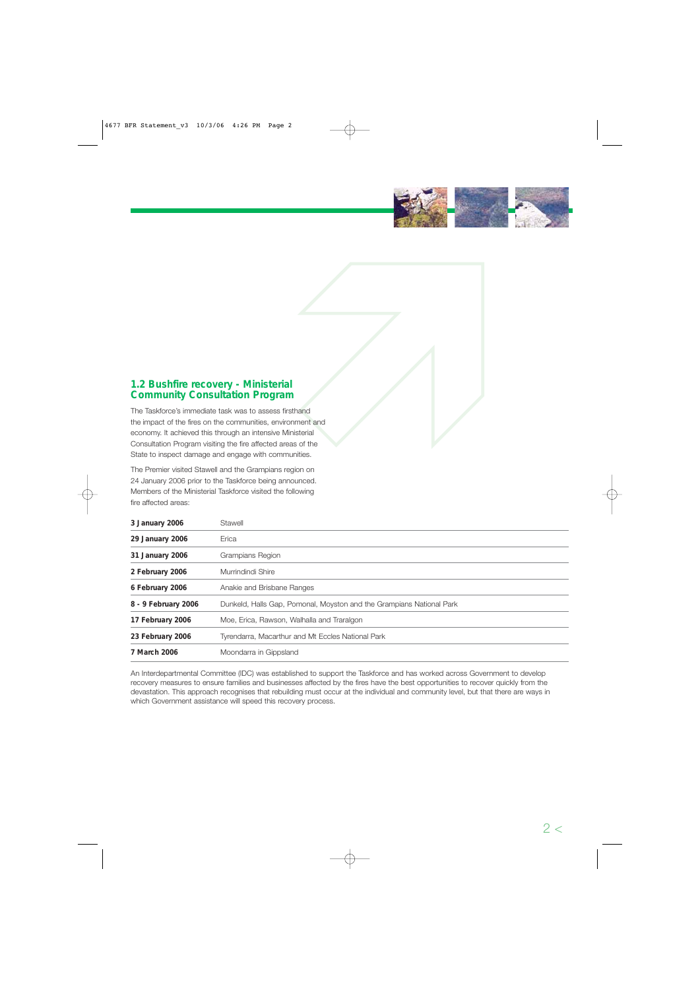

# **1.2 Bushfire recovery - Ministerial Community Consultation Program**

The Taskforce's immediate task was to assess firsthand the impact of the fires on the communities, environment and economy. It achieved this through an intensive Ministerial Consultation Program visiting the fire affected areas of the State to inspect damage and engage with communities. 

The Premier visited Stawell and the Grampians region on 24 January 2006 prior to the Taskforce being announced. Members of the Ministerial Taskforce visited the following fire affected areas:

| 3 January 2006      | Stawell                                                              |
|---------------------|----------------------------------------------------------------------|
| 29 January 2006     | Erica                                                                |
| 31 January 2006     | Grampians Region                                                     |
| 2 February 2006     | Murrindindi Shire                                                    |
| 6 February 2006     | Anakie and Brisbane Ranges                                           |
| 8 - 9 February 2006 | Dunkeld, Halls Gap, Pomonal, Moyston and the Grampians National Park |
| 17 February 2006    | Moe, Erica, Rawson, Walhalla and Traralgon                           |
| 23 February 2006    | Tyrendarra, Macarthur and Mt Eccles National Park                    |
| 7 March 2006        | Moondarra in Gippsland                                               |

An Interdepartmental Committee (IDC) was established to support the Taskforce and has worked across Government to develop recovery measures to ensure families and businesses affected by the fires have the best opportunities to recover quickly from the devastation. This approach recognises that rebuilding must occur at the individual and community level, but that there are ways in which Government assistance will speed this recovery process.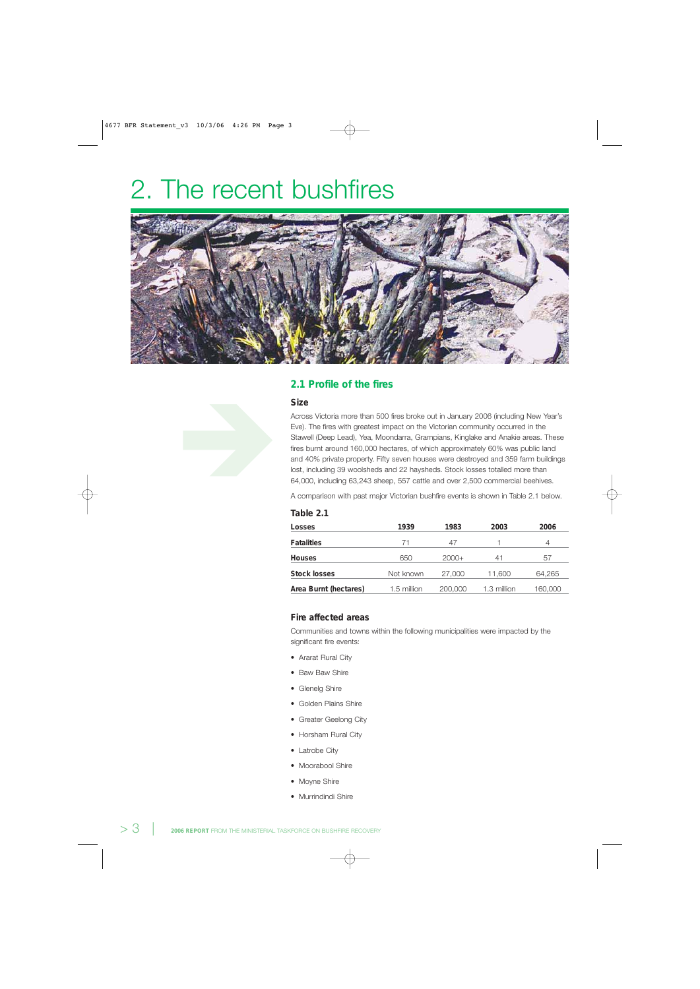# 2. The recent bushfires



# **2.1 Profile of the fires**

#### **Size**

Across Victoria more than 500 fires broke out in January 2006 (including New Year's Eve). The fires with greatest impact on the Victorian community occurred in the Stawell (Deep Lead), Yea, Moondarra, Grampians, Kinglake and Anakie areas. These fires burnt around 160,000 hectares, of which approximately 60% was public land and 40% private property. Fifty seven houses were destroyed and 359 farm buildings lost, including 39 woolsheds and 22 haysheds. Stock losses totalled more than 64,000, including 63,243 sheep, 557 cattle and over 2,500 commercial beehives.

A comparison with past major Victorian bushfire events is shown in Table 2.1 below.

| Table 2.1             |             |         |             |         |
|-----------------------|-------------|---------|-------------|---------|
| Losses                | 1939        | 1983    | 2003        | 2006    |
| <b>Fatalities</b>     | 71          | 47      |             | 4       |
| <b>Houses</b>         | 650         | $2000+$ | 41          | 57      |
| <b>Stock losses</b>   | Not known   | 27,000  | 11,600      | 64,265  |
| Area Burnt (hectares) | 1.5 million | 200,000 | 1.3 million | 160,000 |

#### **Fire affected areas**

Communities and towns within the following municipalities were impacted by the significant fire events:

- Ararat Rural City
- Baw Baw Shire
- Glenelg Shire
- Golden Plains Shire
- Greater Geelong City
- Horsham Rural City
- Latrobe City
- Moorabool Shire
- Moyne Shire
- Murrindindi Shire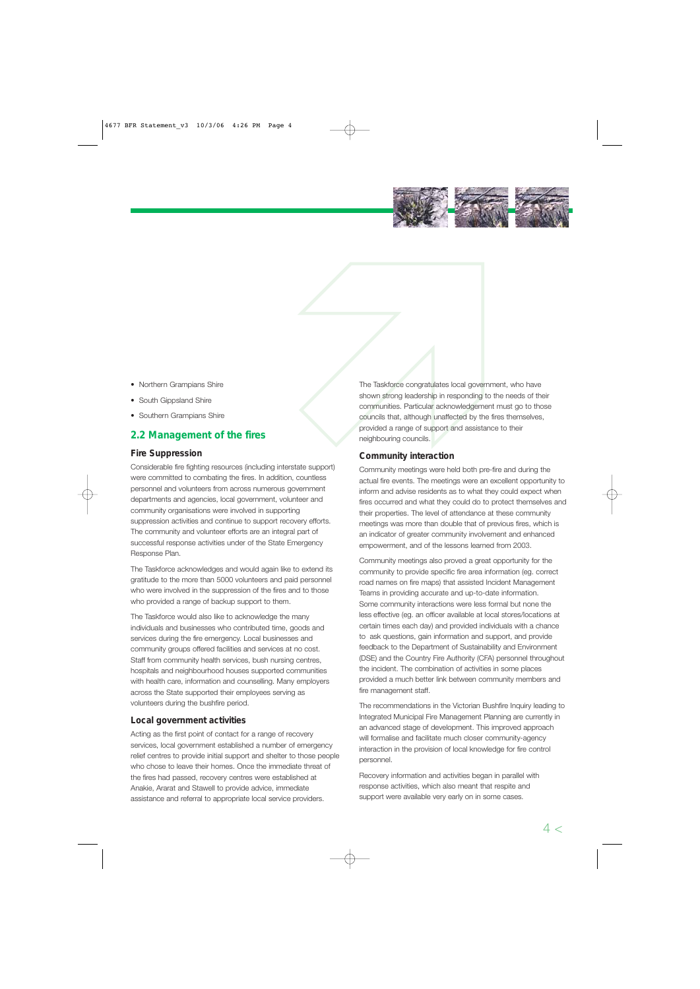

- Northern Grampians Shire
- South Gippsland Shire
- Southern Grampians Shire

# **2.2 Management of the fires**

# **Fire Suppression**

Considerable fire fighting resources (including interstate support) were committed to combating the fires. In addition, countless personnel and volunteers from across numerous government departments and agencies, local government, volunteer and community organisations were involved in supporting suppression activities and continue to support recovery efforts. The community and volunteer efforts are an integral part of successful response activities under of the State Emergency Response Plan.

The Taskforce acknowledges and would again like to extend its gratitude to the more than 5000 volunteers and paid personnel who were involved in the suppression of the fires and to those who provided a range of backup support to them.

The Taskforce would also like to acknowledge the many individuals and businesses who contributed time, goods and services during the fire emergency. Local businesses and community groups offered facilities and services at no cost. Staff from community health services, bush nursing centres, hospitals and neighbourhood houses supported communities with health care, information and counselling. Many employers across the State supported their employees serving as volunteers during the bushfire period.

# **Local government activities**

Acting as the first point of contact for a range of recovery services, local government established a number of emergency relief centres to provide initial support and shelter to those people who chose to leave their homes. Once the immediate threat of the fires had passed, recovery centres were established at Anakie, Ararat and Stawell to provide advice, immediate assistance and referral to appropriate local service providers.

The Taskforce congratulates local gove<br>shown strong leadership in responding<br>communities. Particular acknowledgem<br>councils that, although unaffected by the<br>provided a range of support and assist<br>neighbouring councils. The Taskforce congratulates local government, who have shown strong leadership in responding to the needs of their communities. Particular acknowledgement must go to those councils that, although unaffected by the fires themselves, provided a range of support and assistance to their neighbouring councils.

# **Community interaction**

 Community meetings were held both pre-fire and during the actual fire events. The meetings were an excellent opportunity to inform and advise residents as to what they could expect when fires occurred and what they could do to protect themselves and their properties. The level of attendance at these community meetings was more than double that of previous fires, which is an indicator of greater community involvement and enhanced empowerment, and of the lessons learned from 2003.

Community meetings also proved a great opportunity for the community to provide specific fire area information (eg. correct road names on fire maps) that assisted Incident Management Teams in providing accurate and up-to-date information. Some community interactions were less formal but none the less effective (eg. an officer available at local stores/locations at certain times each day) and provided individuals with a chance to ask questions, gain information and support, and provide feedback to the Department of Sustainability and Environment (DSE) and the Country Fire Authority (CFA) personnel throughout the incident. The combination of activities in some places provided a much better link between community members and fire management staff.

The recommendations in the Victorian Bushfire Inquiry leading to Integrated Municipal Fire Management Planning are currently in an advanced stage of development. This improved approach will formalise and facilitate much closer community-agency interaction in the provision of local knowledge for fire control personnel.

Recovery information and activities began in parallel with response activities, which also meant that respite and support were available very early on in some cases.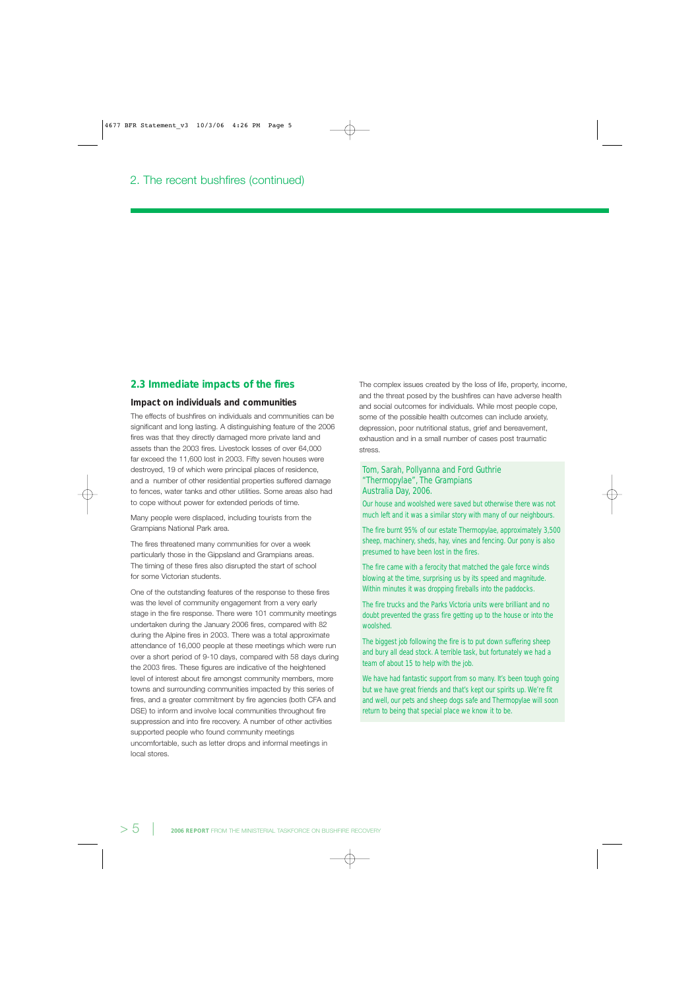## **2.3 Immediate impacts of the fires**

#### **Impact on individuals and communities**

The effects of bushfires on individuals and communities can be significant and long lasting. A distinguishing feature of the 2006 fires was that they directly damaged more private land and assets than the 2003 fires. Livestock losses of over 64,000 far exceed the 11,600 lost in 2003. Fifty seven houses were destroyed, 19 of which were principal places of residence, and a number of other residential properties suffered damage to fences, water tanks and other utilities. Some areas also had to cope without power for extended periods of time.

Many people were displaced, including tourists from the Grampians National Park area.

The fires threatened many communities for over a week particularly those in the Gippsland and Grampians areas. The timing of these fires also disrupted the start of school for some Victorian students.

One of the outstanding features of the response to these fires was the level of community engagement from a very early stage in the fire response. There were 101 community meetings undertaken during the January 2006 fires, compared with 82 during the Alpine fires in 2003. There was a total approximate attendance of 16,000 people at these meetings which were run over a short period of 9-10 days, compared with 58 days during the 2003 fires. These figures are indicative of the heightened level of interest about fire amongst community members, more towns and surrounding communities impacted by this series of fires, and a greater commitment by fire agencies (both CFA and DSE) to inform and involve local communities throughout fire suppression and into fire recovery. A number of other activities supported people who found community meetings uncomfortable, such as letter drops and informal meetings in local stores.

The complex issues created by the loss of life, property, income, and the threat posed by the bushfires can have adverse health and social outcomes for individuals. While most people cope, some of the possible health outcomes can include anxiety, depression, poor nutritional status, grief and bereavement, exhaustion and in a small number of cases post traumatic stress.

#### Tom, Sarah, Pollyanna and Ford Guthrie "Thermopylae", The Grampians Australia Day, 2006.

Our house and woolshed were saved but otherwise there was not much left and it was a similar story with many of our neighbours.

The fire burnt 95% of our estate Thermopylae, approximately 3,500 sheep, machinery, sheds, hay, vines and fencing. Our pony is also presumed to have been lost in the fires.

The fire came with a ferocity that matched the gale force winds blowing at the time, surprising us by its speed and magnitude. Within minutes it was dropping fireballs into the paddocks.

The fire trucks and the Parks Victoria units were brilliant and no doubt prevented the grass fire getting up to the house or into the woolshed.

The biggest job following the fire is to put down suffering sheep and bury all dead stock. A terrible task, but fortunately we had a team of about 15 to help with the job.

We have had fantastic support from so many. It's been tough going but we have great friends and that's kept our spirits up. We're fit and well, our pets and sheep dogs safe and Thermopylae will soon return to being that special place we know it to be.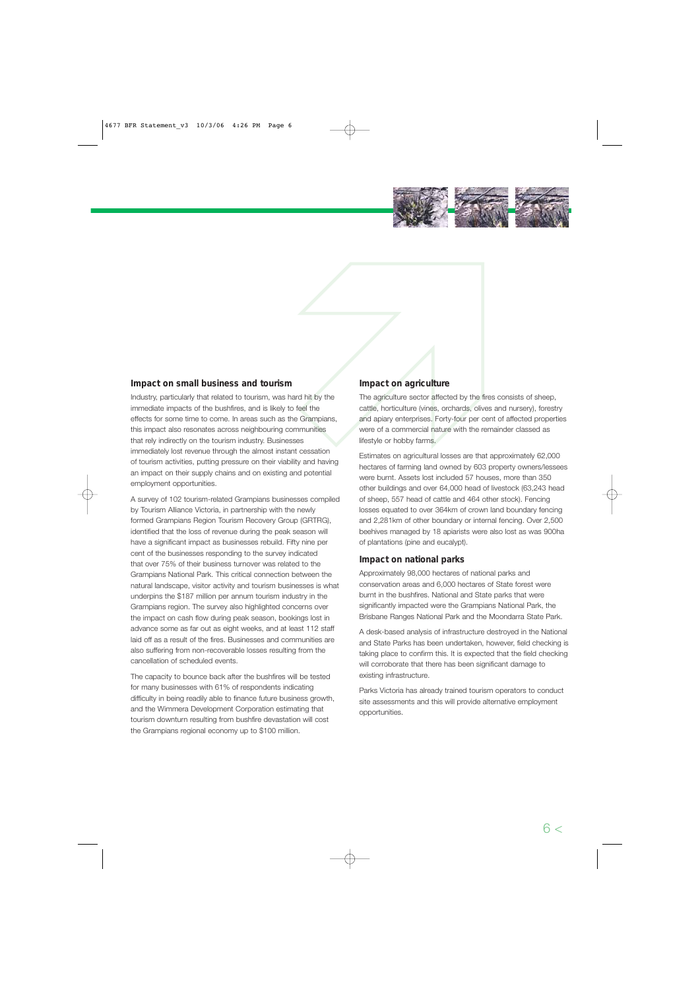

# **Impact on small business and tourism**

Industry, particularly that related to tourism, was hard hit by the immediate impacts of the bushfires, and is likely to feel the effects for some time to come. In areas such as the Grampians, this impact also resonates across neighbouring communities that rely indirectly on the tourism industry. Businesses immediately lost revenue through the almost instant cessation of tourism activities, putting pressure on their viability and having an impact on their supply chains and on existing and potential employment opportunities.

A survey of 102 tourism-related Grampians businesses compiled by Tourism Alliance Victoria, in partnership with the newly formed Grampians Region Tourism Recovery Group (GRTRG), identified that the loss of revenue during the peak season will have a significant impact as businesses rebuild. Fifty nine per cent of the businesses responding to the survey indicated that over 75% of their business turnover was related to the Grampians National Park. This critical connection between the natural landscape, visitor activity and tourism businesses is what underpins the \$187 million per annum tourism industry in the Grampians region. The survey also highlighted concerns over the impact on cash flow during peak season, bookings lost in advance some as far out as eight weeks, and at least 112 staff laid off as a result of the fires. Businesses and communities are also suffering from non-recoverable losses resulting from the cancellation of scheduled events.

The capacity to bounce back after the bushfires will be tested for many businesses with 61% of respondents indicating difficulty in being readily able to finance future business growth, and the Wimmera Development Corporation estimating that tourism downturn resulting from bushfire devastation will cost the Grampians regional economy up to \$100 million.

# **Impact on agriculture**

Impact on agriculture<br>
Intit by the<br>
The agriculture sector affected by the<br>
cattle, horticulture (vines, orchards, oliver)<br>
Grampians,<br>
and apiary enterprises. Forty-four per<br>
nunities<br>
s<br>
Ifestyle or hobby farms. The agriculture sector affected by the fires consists of sheep, cattle, horticulture (vines, orchards, olives and nursery), forestry and apiary enterprises. Forty-four per cent of affected properties were of a commercial nature with the remainder classed as lifestyle or hobby farms.

> hectares of farming land owned by 603 property owners/lessees Estimates on agricultural losses are that approximately 62,000 were burnt. Assets lost included 57 houses, more than 350 other buildings and over 64,000 head of livestock (63,243 head of sheep, 557 head of cattle and 464 other stock). Fencing losses equated to over 364km of crown land boundary fencing and 2,281km of other boundary or internal fencing. Over 2,500 beehives managed by 18 apiarists were also lost as was 900ha of plantations (pine and eucalypt).

# **Impact on national parks**

Approximately 98,000 hectares of national parks and conservation areas and 6,000 hectares of State forest were burnt in the bushfires. National and State parks that were significantly impacted were the Grampians National Park, the Brisbane Ranges National Park and the Moondarra State Park.

A desk-based analysis of infrastructure destroyed in the National and State Parks has been undertaken, however, field checking is taking place to confirm this. It is expected that the field checking will corroborate that there has been significant damage to existing infrastructure.

Parks Victoria has already trained tourism operators to conduct site assessments and this will provide alternative employment opportunities.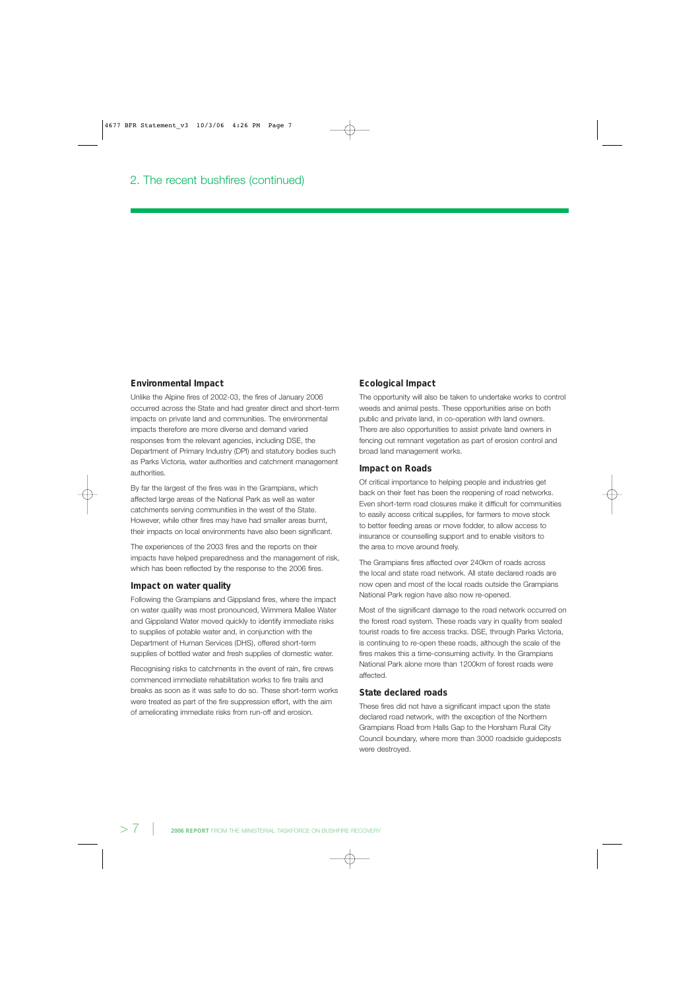#### **Environmental Impact**

Unlike the Alpine fires of 2002-03, the fires of January 2006 occurred across the State and had greater direct and short-term impacts on private land and communities. The environmental impacts therefore are more diverse and demand varied responses from the relevant agencies, including DSE, the Department of Primary Industry (DPI) and statutory bodies such as Parks Victoria, water authorities and catchment management authorities.

By far the largest of the fires was in the Grampians, which affected large areas of the National Park as well as water catchments serving communities in the west of the State. However, while other fires may have had smaller areas burnt, their impacts on local environments have also been significant.

The experiences of the 2003 fires and the reports on their impacts have helped preparedness and the management of risk, which has been reflected by the response to the 2006 fires.

#### **Impact on water quality**

Following the Grampians and Gippsland fires, where the impact on water quality was most pronounced, Wimmera Mallee Water and Gippsland Water moved quickly to identify immediate risks to supplies of potable water and, in conjunction with the Department of Human Services (DHS), offered short-term supplies of bottled water and fresh supplies of domestic water.

Recognising risks to catchments in the event of rain, fire crews commenced immediate rehabilitation works to fire trails and breaks as soon as it was safe to do so. These short-term works were treated as part of the fire suppression effort, with the aim of ameliorating immediate risks from run-off and erosion.

#### **Ecological Impact**

The opportunity will also be taken to undertake works to control weeds and animal pests. These opportunities arise on both public and private land, in co-operation with land owners. There are also opportunities to assist private land owners in fencing out remnant vegetation as part of erosion control and broad land management works.

#### **Impact on Roads**

Of critical importance to helping people and industries get back on their feet has been the reopening of road networks. Even short-term road closures make it difficult for communities to easily access critical supplies, for farmers to move stock to better feeding areas or move fodder, to allow access to insurance or counselling support and to enable visitors to the area to move around freely.

The Grampians fires affected over 240km of roads across the local and state road network. All state declared roads are now open and most of the local roads outside the Grampians National Park region have also now re-opened.

Most of the significant damage to the road network occurred on the forest road system. These roads vary in quality from sealed tourist roads to fire access tracks. DSE, through Parks Victoria, is continuing to re-open these roads, although the scale of the fires makes this a time-consuming activity. In the Grampians National Park alone more than 1200km of forest roads were affected.

#### **State declared roads**

These fires did not have a significant impact upon the state declared road network, with the exception of the Northern Grampians Road from Halls Gap to the Horsham Rural City Council boundary, where more than 3000 roadside guideposts were destroyed.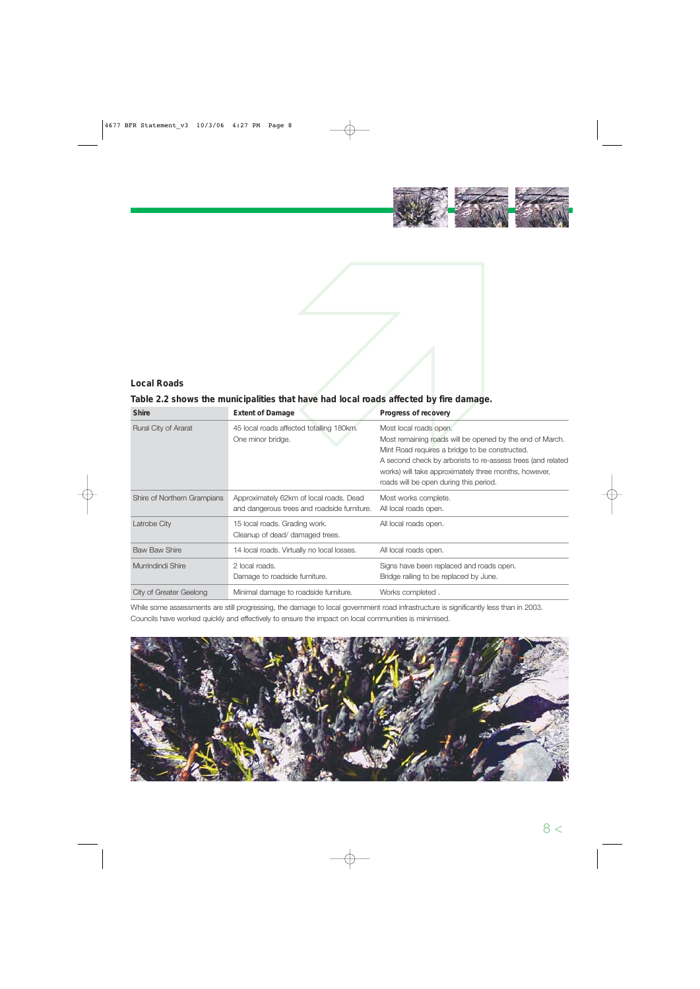

# Nost local conditions are that to take the progress of recovery of totalling 180km.<br>Nost local roads open.<br>Nost remaining roads will be open.

# **Local Roads**

# **Table 2.2 shows the municipalities that have had local roads affected by fire damage.**

| <b>Shire</b>                | <b>Extent of Damage</b>                                                                | Progress of recovery                                                                                                                                                                                                                                                                                   |
|-----------------------------|----------------------------------------------------------------------------------------|--------------------------------------------------------------------------------------------------------------------------------------------------------------------------------------------------------------------------------------------------------------------------------------------------------|
| Rural City of Ararat        | 45 local roads affected totalling 180km.<br>One minor bridge.                          | Most local roads open.<br>Most remaining roads will be opened by the end of March.<br>Mint Road requires a bridge to be constructed.<br>A second check by arborists to re-assess trees (and related<br>works) will take approximately three months, however,<br>roads will be open during this period. |
| Shire of Northern Grampians | Approximately 62km of local roads. Dead<br>and dangerous trees and roadside furniture. | Most works complete.<br>All local roads open.                                                                                                                                                                                                                                                          |
| Latrobe City                | 15 local roads. Grading work.<br>Cleanup of dead/ damaged trees.                       | All local roads open.                                                                                                                                                                                                                                                                                  |
| <b>Baw Baw Shire</b>        | 14 local roads. Virtually no local losses.                                             | All local roads open.                                                                                                                                                                                                                                                                                  |
| Murrindindi Shire           | 2 local roads.<br>Damage to roadside furniture.                                        | Signs have been replaced and roads open.<br>Bridge railing to be replaced by June.                                                                                                                                                                                                                     |
| City of Greater Geelong     | Minimal damage to roadside furniture.                                                  | Works completed.                                                                                                                                                                                                                                                                                       |

While some assessments are still progressing, the damage to local government road infrastructure is significantly less than in 2003. Councils have worked quickly and effectively to ensure the impact on local communities is minimised.

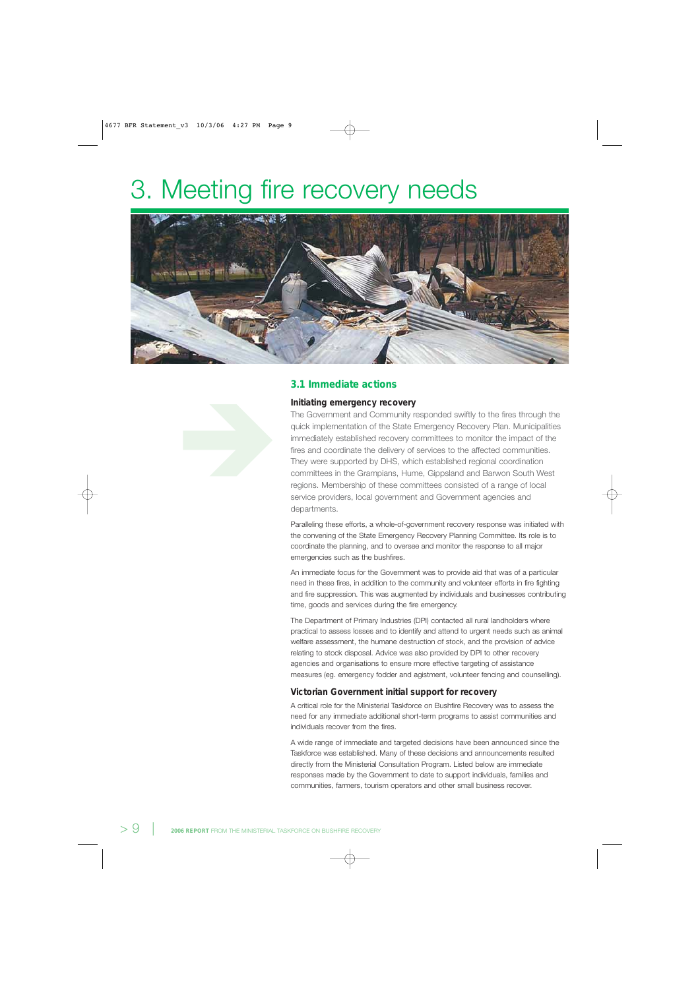# 3. Meeting fire recovery needs



# **3.1 Immediate actions**

#### **Initiating emergency recovery**

The Government and Community responded swiftly to the fires through the quick implementation of the State Emergency Recovery Plan. Municipalities immediately established recovery committees to monitor the impact of the fires and coordinate the delivery of services to the affected communities. They were supported by DHS, which established regional coordination committees in the Grampians, Hume, Gippsland and Barwon South West regions. Membership of these committees consisted of a range of local service providers, local government and Government agencies and departments.

Paralleling these efforts, a whole-of-government recovery response was initiated with the convening of the State Emergency Recovery Planning Committee. Its role is to coordinate the planning, and to oversee and monitor the response to all major emergencies such as the bushfires.

An immediate focus for the Government was to provide aid that was of a particular need in these fires, in addition to the community and volunteer efforts in fire fighting and fire suppression. This was augmented by individuals and businesses contributing time, goods and services during the fire emergency.

The Department of Primary Industries (DPI) contacted all rural landholders where practical to assess losses and to identify and attend to urgent needs such as animal welfare assessment, the humane destruction of stock, and the provision of advice relating to stock disposal. Advice was also provided by DPI to other recovery agencies and organisations to ensure more effective targeting of assistance measures (eg. emergency fodder and agistment, volunteer fencing and counselling).

#### **Victorian Government initial support for recovery**

A critical role for the Ministerial Taskforce on Bushfire Recovery was to assess the need for any immediate additional short-term programs to assist communities and individuals recover from the fires.

A wide range of immediate and targeted decisions have been announced since the Taskforce was established. Many of these decisions and announcements resulted directly from the Ministerial Consultation Program. Listed below are immediate responses made by the Government to date to support individuals, families and communities, farmers, tourism operators and other small business recover.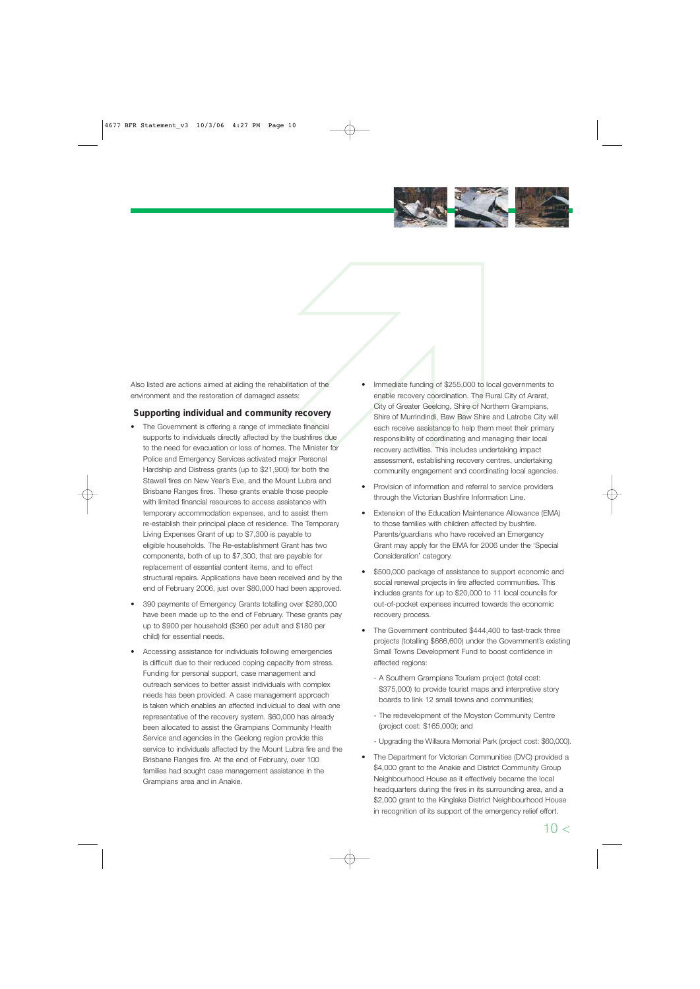

Also listed are actions aimed at aiding the rehabilitation of the environment and the restoration of damaged assets:

# **Supporting individual and community recovery**

- The Government is offering a range of immediate financial supports to individuals directly affected by the bushfires due to the need for evacuation or loss of homes. The Minister for Police and Emergency Services activated major Personal Hardship and Distress grants (up to \$21,900) for both the Stawell fires on New Year's Eve, and the Mount Lubra and Brisbane Ranges fires. These grants enable those people with limited financial resources to access assistance with temporary accommodation expenses, and to assist them re-establish their principal place of residence. The Temporary Living Expenses Grant of up to \$7,300 is payable to eligible households. The Re-establishment Grant has two components, both of up to \$7,300, that are payable for replacement of essential content items, and to effect structural repairs. Applications have been received and by the end of February 2006, just over \$80,000 had been approved.
- 390 payments of Emergency Grants totalling over \$280,000 have been made up to the end of February. These grants pay up to \$900 per household (\$360 per adult and \$180 per child) for essential needs.
- Accessing assistance for individuals following emergencies is difficult due to their reduced coping capacity from stress. Funding for personal support, case management and outreach services to better assist individuals with complex needs has been provided. A case management approach is taken which enables an affected individual to deal with one representative of the recovery system. \$60,000 has already been allocated to assist the Grampians Community Health Service and agencies in the Geelong region provide this service to individuals affected by the Mount Lubra fire and the Brisbane Ranges fire. At the end of February, over 100 families had sought case management assistance in the Grampians area and in Anakie.
- on of the<br>
and the minediate funding of \$255,000 to<br>
enable recovery coordination. The<br>
City of Greater Geelong, Shire of I<br>
Shire of Murrindindi, Baw Baw Sh<br>
each receive assistance to help the<br>
responsibility of coordina community engagement and coordinating local agencies. Immediate funding of \$255,000 to local governments to enable recovery coordination. The Rural City of Ararat, City of Greater Geelong, Shire of Northern Grampians, Shire of Murrindindi, Baw Baw Shire and Latrobe City will each receive assistance to help them meet their primary responsibility of coordinating and managing their local recovery activities. This includes undertaking impact assessment, establishing recovery centres, undertaking
	- Provision of information and referral to service providers through the Victorian Bushfire Information Line.
	- Extension of the Education Maintenance Allowance (EMA) to those families with children affected by bushfire. Parents/guardians who have received an Emergency Grant may apply for the EMA for 2006 under the 'Special Consideration' category.
	- \$500,000 package of assistance to support economic and social renewal projects in fire affected communities. This includes grants for up to \$20,000 to 11 local councils for out-of-pocket expenses incurred towards the economic recovery process.
	- The Government contributed \$444,400 to fast-track three projects (totalling \$666,600) under the Government's existing Small Towns Development Fund to boost confidence in affected regions:
		- A Southern Grampians Tourism project (total cost: \$375,000) to provide tourist maps and interpretive story boards to link 12 small towns and communities;
		- The redevelopment of the Moyston Community Centre (project cost: \$165,000); and
		- Upgrading the Willaura Memorial Park (project cost: \$60,000).
	- The Department for Victorian Communities (DVC) provided a \$4,000 grant to the Anakie and District Community Group Neighbourhood House as it effectively became the local headquarters during the fires in its surrounding area, and a \$2,000 grant to the Kinglake District Neighbourhood House in recognition of its support of the emergency relief effort.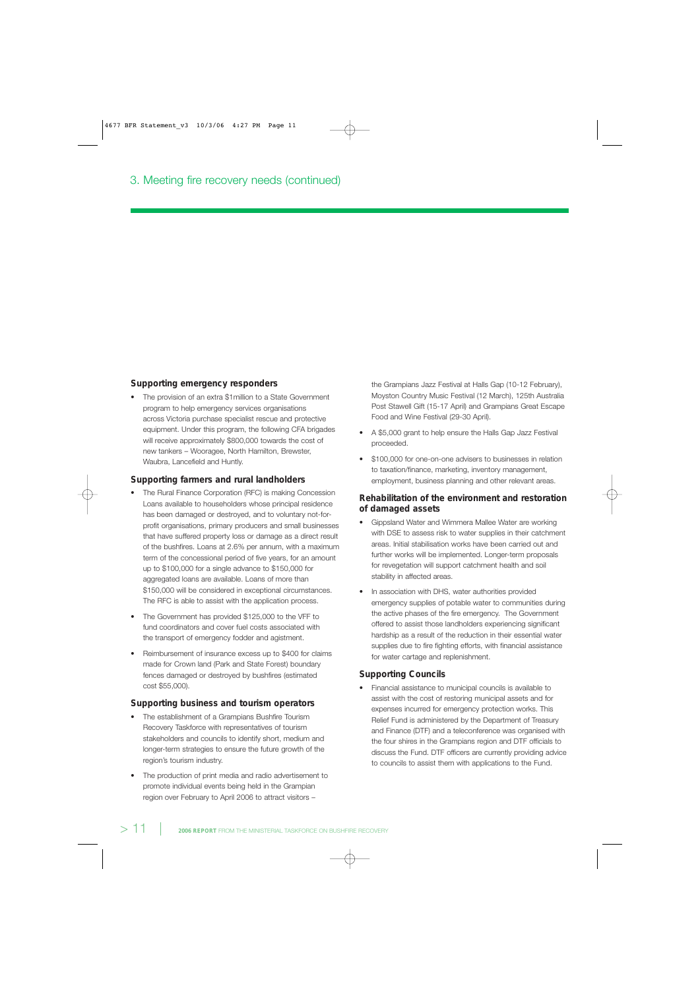## **Supporting emergency responders**

• The provision of an extra \$1million to a State Government program to help emergency services organisations across Victoria purchase specialist rescue and protective equipment. Under this program, the following CFA brigades will receive approximately \$800,000 towards the cost of new tankers – Wooragee, North Hamilton, Brewster, Waubra, Lancefield and Huntly.

#### **Supporting farmers and rural landholders**

- The Rural Finance Corporation (RFC) is making Concession Loans available to householders whose principal residence has been damaged or destroyed, and to voluntary not-forprofit organisations, primary producers and small businesses that have suffered property loss or damage as a direct result of the bushfires. Loans at 2.6% per annum, with a maximum term of the concessional period of five years, for an amount up to \$100,000 for a single advance to \$150,000 for aggregated loans are available. Loans of more than \$150,000 will be considered in exceptional circumstances. The RFC is able to assist with the application process.
- The Government has provided \$125,000 to the VFF to fund coordinators and cover fuel costs associated with the transport of emergency fodder and agistment.
- Reimbursement of insurance excess up to \$400 for claims made for Crown land (Park and State Forest) boundary fences damaged or destroyed by bushfires (estimated cost \$55,000).

#### **Supporting business and tourism operators**

- The establishment of a Grampians Bushfire Tourism Recovery Taskforce with representatives of tourism stakeholders and councils to identify short, medium and longer-term strategies to ensure the future growth of the region's tourism industry.
- The production of print media and radio advertisement to promote individual events being held in the Grampian region over February to April 2006 to attract visitors –

the Grampians Jazz Festival at Halls Gap (10-12 February), Moyston Country Music Festival (12 March), 125th Australia Post Stawell Gift (15-17 April) and Grampians Great Escape Food and Wine Festival (29-30 April).

- A \$5,000 grant to help ensure the Halls Gap Jazz Festival proceeded.
- \$100,000 for one-on-one advisers to businesses in relation to taxation/finance, marketing, inventory management, employment, business planning and other relevant areas.

## **Rehabilitation of the environment and restoration of damaged assets**

- Gippsland Water and Wimmera Mallee Water are working with DSE to assess risk to water supplies in their catchment areas. Initial stabilisation works have been carried out and further works will be implemented. Longer-term proposals for revegetation will support catchment health and soil stability in affected areas.
- In association with DHS, water authorities provided emergency supplies of potable water to communities during the active phases of the fire emergency. The Government offered to assist those landholders experiencing significant hardship as a result of the reduction in their essential water supplies due to fire fighting efforts, with financial assistance for water cartage and replenishment.

# **Supporting Councils**

• Financial assistance to municipal councils is available to assist with the cost of restoring municipal assets and for expenses incurred for emergency protection works. This Relief Fund is administered by the Department of Treasury and Finance (DTF) and a teleconference was organised with the four shires in the Grampians region and DTF officials to discuss the Fund. DTF officers are currently providing advice to councils to assist them with applications to the Fund.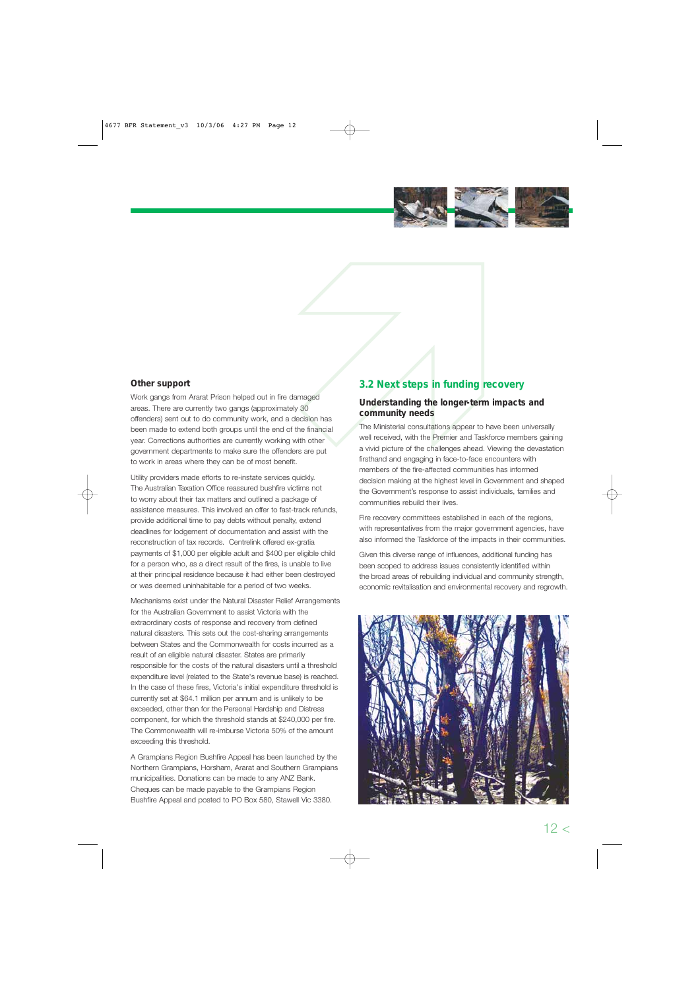

# **Other support**

Work gangs from Ararat Prison helped out in fire damaged areas. There are currently two gangs (approximately 30 offenders) sent out to do community work, and a decision has been made to extend both groups until the end of the financial year. Corrections authorities are currently working with other government departments to make sure the offenders are put to work in areas where they can be of most benefit.

Utility providers made efforts to re-instate services quickly. The Australian Taxation Office reassured bushfire victims not to worry about their tax matters and outlined a package of assistance measures. This involved an offer to fast-track refunds, provide additional time to pay debts without penalty, extend deadlines for lodgement of documentation and assist with the reconstruction of tax records. Centrelink offered ex-gratia payments of \$1,000 per eligible adult and \$400 per eligible child for a person who, as a direct result of the fires, is unable to live at their principal residence because it had either been destroyed or was deemed uninhabitable for a period of two weeks.

Mechanisms exist under the Natural Disaster Relief Arrangements for the Australian Government to assist Victoria with the extraordinary costs of response and recovery from defined natural disasters. This sets out the cost-sharing arrangements between States and the Commonwealth for costs incurred as a result of an eligible natural disaster. States are primarily responsible for the costs of the natural disasters until a threshold expenditure level (related to the State's revenue base) is reached. In the case of these fires, Victoria's initial expenditure threshold is currently set at \$64.1 million per annum and is unlikely to be exceeded, other than for the Personal Hardship and Distress component, for which the threshold stands at \$240,000 per fire. The Commonwealth will re-imburse Victoria 50% of the amount exceeding this threshold.

A Grampians Region Bushfire Appeal has been launched by the Northern Grampians, Horsham, Ararat and Southern Grampians municipalities. Donations can be made to any ANZ Bank. Cheques can be made payable to the Grampians Region Bushfire Appeal and posted to PO Box 580, Stawell Vic 3380.

# **3.2 Next steps in funding recovery**

# **Understanding the longer-term impacts and community needs**

3.2 Next steps in funding<br>
13.2 Next steps in funding<br>
130<br>
Understanding the longer-terr<br>
20<br>
130<br>
E financial<br>
The Ministerial consultations appear to<br>
the Ministerial consultations appear to<br>
13.2 New Ministerial consul members of the fire-affected communities has informed The Ministerial consultations appear to have been universally well received, with the Premier and Taskforce members gaining a vivid picture of the challenges ahead. Viewing the devastation firsthand and engaging in face-to-face encounters with decision making at the highest level in Government and shaped the Government's response to assist individuals, families and communities rebuild their lives.

> Fire recovery committees established in each of the regions, with representatives from the major government agencies, have also informed the Taskforce of the impacts in their communities.

> Given this diverse range of influences, additional funding has been scoped to address issues consistently identified within the broad areas of rebuilding individual and community strength, economic revitalisation and environmental recovery and regrowth.

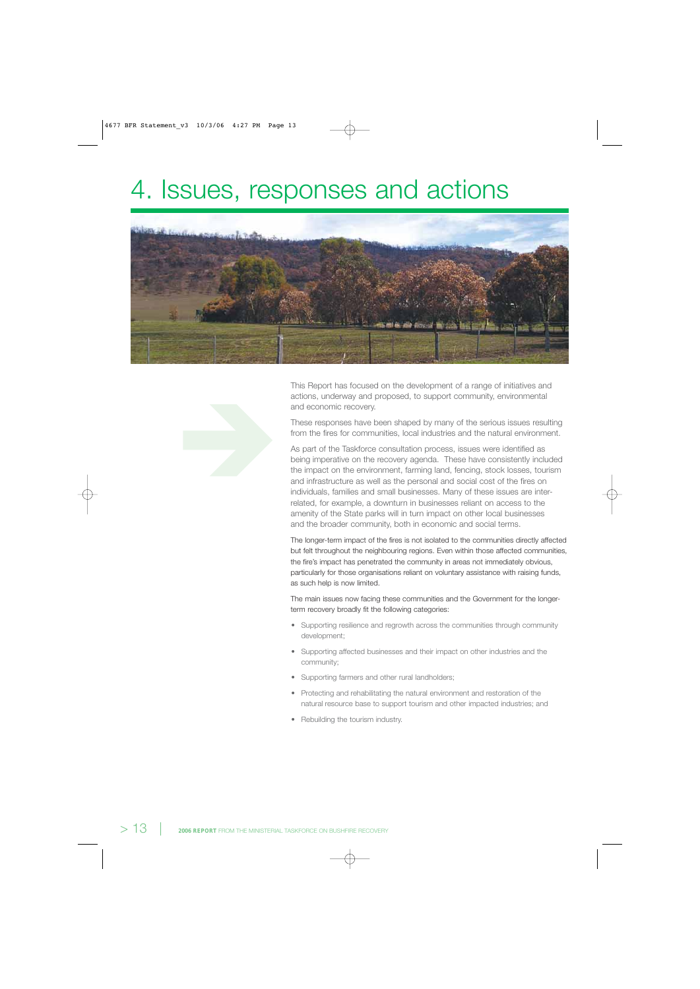# 4. Issues, responses and actions



This Report has focused on the development of a range of initiatives and actions, underway and proposed, to support community, environmental and economic recovery.

These responses have been shaped by many of the serious issues resulting from the fires for communities, local industries and the natural environment.

As part of the Taskforce consultation process, issues were identified as being imperative on the recovery agenda. These have consistently included the impact on the environment, farming land, fencing, stock losses, tourism and infrastructure as well as the personal and social cost of the fires on individuals, families and small businesses. Many of these issues are interrelated, for example, a downturn in businesses reliant on access to the amenity of the State parks will in turn impact on other local businesses and the broader community, both in economic and social terms.

The longer-term impact of the fires is not isolated to the communities directly affected but felt throughout the neighbouring regions. Even within those affected communities, the fire's impact has penetrated the community in areas not immediately obvious, particularly for those organisations reliant on voluntary assistance with raising funds, as such help is now limited.

The main issues now facing these communities and the Government for the longerterm recovery broadly fit the following categories:

- Supporting resilience and regrowth across the communities through community development;
- Supporting affected businesses and their impact on other industries and the community;
- Supporting farmers and other rural landholders;
- Protecting and rehabilitating the natural environment and restoration of the natural resource base to support tourism and other impacted industries; and
- Rebuilding the tourism industry.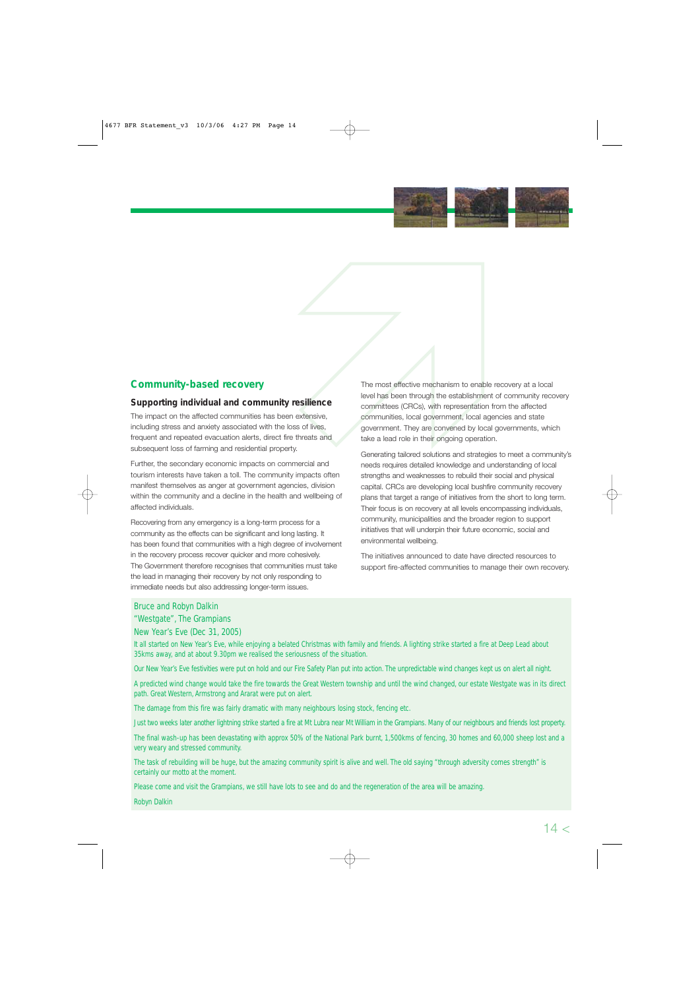

# **Community-based recovery**

# **Supporting individual and community resilience**

The impact on the affected communities has been extensive, including stress and anxiety associated with the loss of lives, frequent and repeated evacuation alerts, direct fire threats and subsequent loss of farming and residential property.

Further, the secondary economic impacts on commercial and tourism interests have taken a toll. The community impacts often manifest themselves as anger at government agencies, division within the community and a decline in the health and wellbeing of affected individuals.

Recovering from any emergency is a long-term process for a community as the effects can be significant and long lasting. It has been found that communities with a high degree of involvement in the recovery process recover quicker and more cohesively. The Government therefore recognises that communities must take the lead in managing their recovery by not only responding to immediate needs but also addressing longer-term issues.

The most effective mechanism to ena<br>
level has been through the establishm<br>
committees (CRCs), with representation<br>
density communities, local government, local<br>
government. They are convened by lo<br>
take a lead role in the The most effective mechanism to enable recovery at a local level has been through the establishment of community recovery committees (CRCs), with representation from the affected communities, local government, local agencies and state government. They are convened by local governments, which take a lead role in their ongoing operation.

> needs requires detailed knowledge and understanding of local Generating tailored solutions and strategies to meet a community's strengths and weaknesses to rebuild their social and physical capital. CRCs are developing local bushfire community recovery plans that target a range of initiatives from the short to long term. Their focus is on recovery at all levels encompassing individuals, community, municipalities and the broader region to support initiatives that will underpin their future economic, social and environmental wellbeing.

> The initiatives announced to date have directed resources to support fire-affected communities to manage their own recovery.

# Bruce and Robyn Dalkin

#### "Westgate", The Grampians

# New Year's Eve (Dec 31, 2005)

It all started on New Year's Eve, while enjoying a belated Christmas with family and friends. A lighting strike started a fire at Deep Lead about 35kms away, and at about 9.30pm we realised the seriousness of the situation.

Our New Year's Eve festivities were put on hold and our Fire Safety Plan put into action. The unpredictable wind changes kept us on alert all night.

A predicted wind change would take the fire towards the Great Western township and until the wind changed, our estate Westgate was in its direct path. Great Western, Armstrong and Ararat were put on alert.

The damage from this fire was fairly dramatic with many neighbours losing stock, fencing etc.

Just two weeks later another lightning strike started a fire at Mt Lubra near Mt William in the Grampians. Many of our neighbours and friends lost property.

The final wash-up has been devastating with approx 50% of the National Park burnt, 1,500kms of fencing, 30 homes and 60,000 sheep lost and a very weary and stressed community.

The task of rebuilding will be huge, but the amazing community spirit is alive and well. The old saying "through adversity comes strength" is certainly our motto at the moment.

Please come and visit the Grampians, we still have lots to see and do and the regeneration of the area will be amazing.

Robyn Dalkin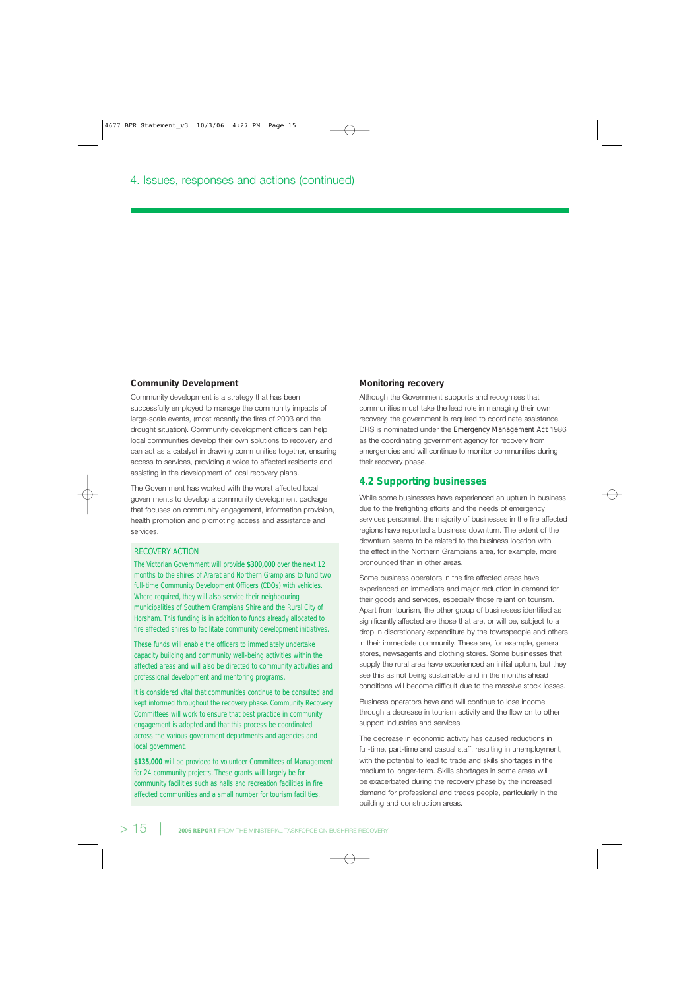#### **Community Development**

Community development is a strategy that has been successfully employed to manage the community impacts of large-scale events, (most recently the fires of 2003 and the drought situation). Community development officers can help local communities develop their own solutions to recovery and can act as a catalyst in drawing communities together, ensuring access to services, providing a voice to affected residents and assisting in the development of local recovery plans.

The Government has worked with the worst affected local governments to develop a community development package that focuses on community engagement, information provision, health promotion and promoting access and assistance and services.

#### RECOVERY ACTION

The Victorian Government will provide **\$300,000** over the next 12 months to the shires of Ararat and Northern Grampians to fund two full-time Community Development Officers (CDOs) with vehicles. Where required, they will also service their neighbouring municipalities of Southern Grampians Shire and the Rural City of Horsham. This funding is in addition to funds already allocated to fire affected shires to facilitate community development initiatives.

These funds will enable the officers to immediately undertake capacity building and community well-being activities within the affected areas and will also be directed to community activities and professional development and mentoring programs.

It is considered vital that communities continue to be consulted and kept informed throughout the recovery phase. Community Recovery Committees will work to ensure that best practice in community engagement is adopted and that this process be coordinated across the various government departments and agencies and local government.

**\$135,000** will be provided to volunteer Committees of Management for 24 community projects. These grants will largely be for community facilities such as halls and recreation facilities in fire affected communities and a small number for tourism facilities.

#### **Monitoring recovery**

Although the Government supports and recognises that communities must take the lead role in managing their own recovery, the government is required to coordinate assistance. DHS is nominated under the *Emergency Management Act* 1986 as the coordinating government agency for recovery from emergencies and will continue to monitor communities during their recovery phase.

## **4.2 Supporting businesses**

While some businesses have experienced an upturn in business due to the firefighting efforts and the needs of emergency services personnel, the majority of businesses in the fire affected regions have reported a business downturn. The extent of the downturn seems to be related to the business location with the effect in the Northern Grampians area, for example, more pronounced than in other areas.

Some business operators in the fire affected areas have experienced an immediate and major reduction in demand for their goods and services, especially those reliant on tourism. Apart from tourism, the other group of businesses identified as significantly affected are those that are, or will be, subject to a drop in discretionary expenditure by the townspeople and others in their immediate community. These are, for example, general stores, newsagents and clothing stores. Some businesses that supply the rural area have experienced an initial upturn, but they see this as not being sustainable and in the months ahead conditions will become difficult due to the massive stock losses.

Business operators have and will continue to lose income through a decrease in tourism activity and the flow on to other support industries and services.

The decrease in economic activity has caused reductions in full-time, part-time and casual staff, resulting in unemployment, with the potential to lead to trade and skills shortages in the medium to longer-term. Skills shortages in some areas will be exacerbated during the recovery phase by the increased demand for professional and trades people, particularly in the building and construction areas.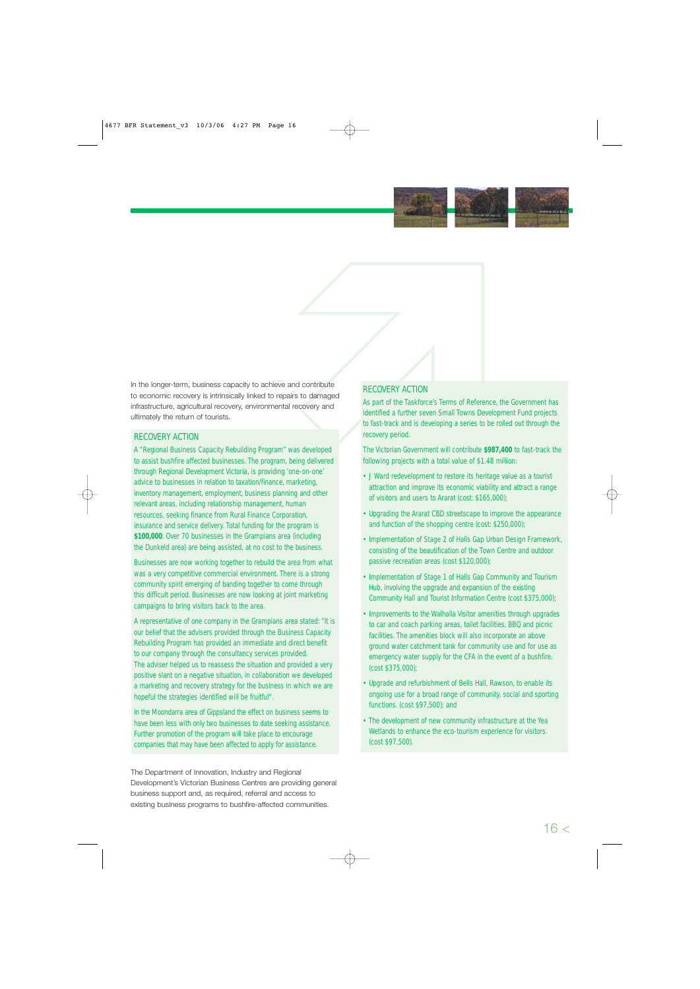

In the longer-term, business capacity to achieve and contribute to economic recovery is intrinsically linked to repairs to damaged infrastructure, agricultural recovery, environmental recovery and In the longer-term, business capacity to achieve and contribute<br>to economic recovery is intrinsically linked to repairs to damaged<br>infrastructure, agricultural recovery, environmental recovery and<br>ultimately the return of

# RECOVERY ACTION

A "Regional Business Capacity Rebuilding Program" was developed to assist bushfire affected businesses. The program, being delivered through Regional Development Victoria, is providing 'one-on-one' advice to businesses in relation to taxation/finance, marketing, inventory management, employment, business planning and other relevant areas, including relationship management, human resources, seeking finance from Rural Finance Corporation, insurance and service delivery. Total funding for the program is **\$100,000**. Over 70 businesses in the Grampians area (including the Dunkeld area) are being assisted, at no cost to the business.

Businesses are now working together to rebuild the area from what was a very competitive commercial environment. There is a strong community spirit emerging of banding together to come through this difficult period. Businesses are now looking at joint marketing campaigns to bring visitors back to the area.

A representative of one company in the Grampians area stated: "It is our belief that the advisers provided through the Business Capacity Rebuilding Program has provided an immediate and direct benefit to our company through the consultancy services provided. The adviser helped us to reassess the situation and provided a very positive slant on a negative situation, in collaboration we developed a marketing and recovery strategy for the business in which we are hopeful the strategies identified will be fruitful".

In the Moondarra area of Gippsland the effect on business seems to have been less with only two businesses to date seeking assistance. Further promotion of the program will take place to encourage companies that may have been affected to apply for assistance.

The Department of Innovation, Industry and Regional Development's Victorian Business Centres are providing general business support and, as required, referral and access to existing business programs to bushfire-affected communities.

## RECOVERY ACTION

As part of the Taskforce's Terms of Reference, the Government has identified a further seven Small Towns Development Fund projects to fast-track and is developing a series to be rolled out through the recovery period.

The Victorian Government will contribute **\$987,400** to fast-track the following projects with a total value of \$1.48 million:

- J Ward redevelopment to restore its heritage value as a tourist attraction and improve its economic viability and attract a range of visitors and users to Ararat (cost: \$165,000);
- Upgrading the Ararat CBD streetscape to improve the appearance and function of the shopping centre (cost: \$250,000);
- Implementation of Stage 2 of Halls Gap Urban Design Framework, consisting of the beautification of the Town Centre and outdoor passive recreation areas (cost \$120,000);
- Implementation of Stage 1 of Halls Gap Community and Tourism Hub, involving the upgrade and expansion of the existing Community Hall and Tourist Information Centre (cost \$375,000);
- Improvements to the Walhalla Visitor amenities through upgrades to car and coach parking areas, toilet facilities, BBQ and picnic facilities. The amenities block will also incorporate an above ground water catchment tank for community use and for use as emergency water supply for the CFA in the event of a bushfire. (cost \$375,000);
- Upgrade and refurbishment of Bells Hall, Rawson, to enable its ongoing use for a broad range of community, social and sporting functions. (cost \$97,500); and
- The development of new community infrastructure at the Yea Wetlands to enhance the eco-tourism experience for visitors. (cost \$97,500).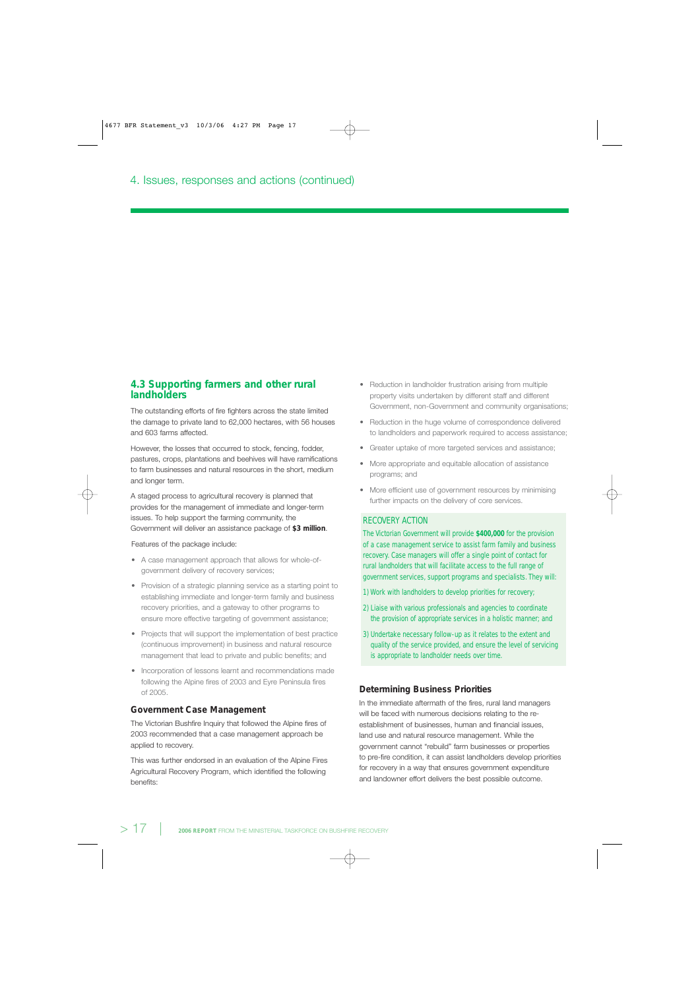# **4.3 Supporting farmers and other rural landholders**

The outstanding efforts of fire fighters across the state limited the damage to private land to 62,000 hectares, with 56 houses and 603 farms affected.

However, the losses that occurred to stock, fencing, fodder, pastures, crops, plantations and beehives will have ramifications to farm businesses and natural resources in the short, medium and longer term.

A staged process to agricultural recovery is planned that provides for the management of immediate and longer-term issues. To help support the farming community, the Government will deliver an assistance package of **\$3 million**.

#### Features of the package include:

- A case management approach that allows for whole-ofgovernment delivery of recovery services;
- Provision of a strategic planning service as a starting point to establishing immediate and longer-term family and business recovery priorities, and a gateway to other programs to ensure more effective targeting of government assistance;
- Projects that will support the implementation of best practice (continuous improvement) in business and natural resource management that lead to private and public benefits; and
- Incorporation of lessons learnt and recommendations made following the Alpine fires of 2003 and Eyre Peninsula fires of 2005.

#### **Government Case Management**

The Victorian Bushfire Inquiry that followed the Alpine fires of 2003 recommended that a case management approach be applied to recovery.

This was further endorsed in an evaluation of the Alpine Fires Agricultural Recovery Program, which identified the following benefits:

- Reduction in landholder frustration arising from multiple property visits undertaken by different staff and different Government, non-Government and community organisations;
- Reduction in the huge volume of correspondence delivered to landholders and paperwork required to access assistance;
- Greater uptake of more targeted services and assistance;
- More appropriate and equitable allocation of assistance programs; and
- More efficient use of government resources by minimising further impacts on the delivery of core services.

#### RECOVERY ACTION

The Victorian Government will provide **\$400,000** for the provision of a case management service to assist farm family and business recovery. Case managers will offer a single point of contact for rural landholders that will facilitate access to the full range of government services, support programs and specialists. They will:

- 1) Work with landholders to develop priorities for recovery;
- 2) Liaise with various professionals and agencies to coordinate the provision of appropriate services in a holistic manner; and
- 3) Undertake necessary follow-up as it relates to the extent and quality of the service provided, and ensure the level of servicing is appropriate to landholder needs over time.

#### **Determining Business Priorities**

In the immediate aftermath of the fires, rural land managers will be faced with numerous decisions relating to the reestablishment of businesses, human and financial issues, land use and natural resource management. While the government cannot "rebuild" farm businesses or properties to pre-fire condition, it can assist landholders develop priorities for recovery in a way that ensures government expenditure and landowner effort delivers the best possible outcome.

> 17 | **2006 REPORT** FROM THE MINISTERIAL TASKFORCE ON BUSHFIRE RECOVERY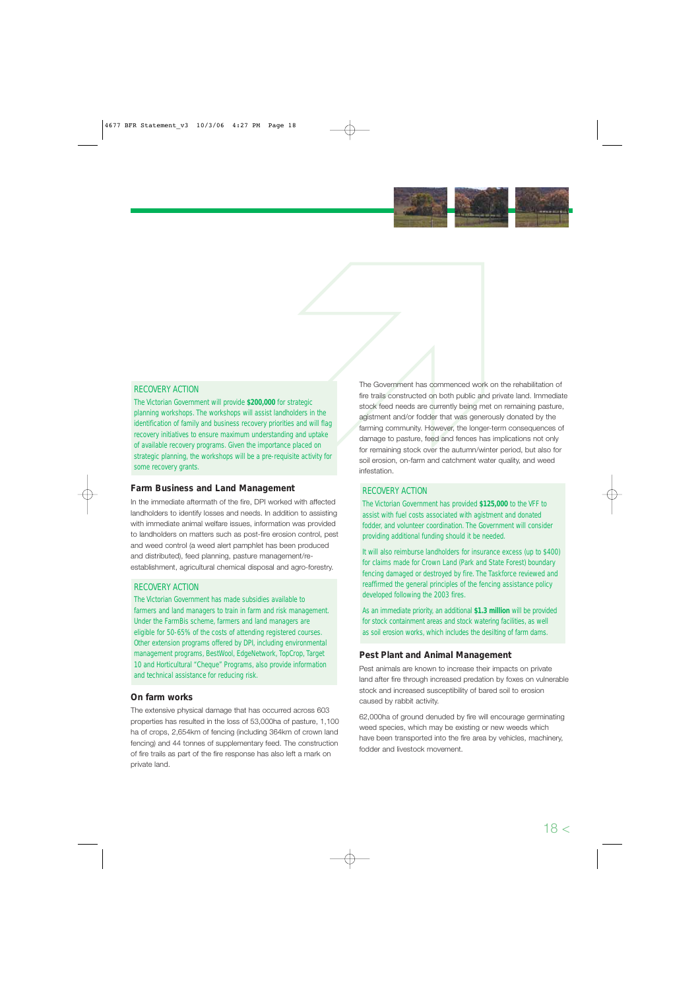

#### RECOVERY ACTION

The Victorian Government will provide **\$200,000** for strategic planning workshops. The workshops will assist landholders in the identification of family and business recovery priorities and will flag recovery initiatives to ensure maximum understanding and uptake of available recovery programs. Given the importance placed on strategic planning, the workshops will be a pre-requisite activity for some recovery grants.

#### **Farm Business and Land Management**

In the immediate aftermath of the fire, DPI worked with affected landholders to identify losses and needs. In addition to assisting with immediate animal welfare issues, information was provided to landholders on matters such as post-fire erosion control, pest and weed control (a weed alert pamphlet has been produced and distributed), feed planning, pasture management/reestablishment, agricultural chemical disposal and agro-forestry.

#### RECOVERY ACTION

The Victorian Government has made subsidies available to farmers and land managers to train in farm and risk management. Under the FarmBis scheme, farmers and land managers are eligible for 50-65% of the costs of attending registered courses. Other extension programs offered by DPI, including environmental management programs, BestWool, EdgeNetwork, TopCrop, Target 10 and Horticultural "Cheque" Programs, also provide information and technical assistance for reducing risk.

#### **On farm works**

The extensive physical damage that has occurred across 603 properties has resulted in the loss of 53,000ha of pasture, 1,100 ha of crops, 2,654km of fencing (including 364km of crown land fencing) and 44 tonnes of supplementary feed. The construction of fire trails as part of the fire response has also left a mark on private land.

The Government has commenced wo<br>egic<br>fire trails constructed on both public a<br>stock feed needs are currently being n<br>a stock feed needs are currently being n<br>a straining community. However, the long<br>damage to pasture, feed The Government has commenced work on the rehabilitation of fire trails constructed on both public and private land. Immediate stock feed needs are currently being met on remaining pasture, agistment and/or fodder that was generously donated by the farming community. However, the longer-term consequences of damage to pasture, feed and fences has implications not only for remaining stock over the autumn/winter period, but also for soil erosion, on-farm and catchment water quality, and weed infestation.

## RECOVERY ACTION

The Victorian Government has provided **\$125,000** to the VFF to assist with fuel costs associated with agistment and donated fodder, and volunteer coordination. The Government will consider providing additional funding should it be needed.

It will also reimburse landholders for insurance excess (up to \$400) for claims made for Crown Land (Park and State Forest) boundary fencing damaged or destroyed by fire. The Taskforce reviewed and reaffirmed the general principles of the fencing assistance policy developed following the 2003 fires.

As an immediate priority, an additional **\$1.3 million** will be provided for stock containment areas and stock watering facilities, as well as soil erosion works, which includes the desilting of farm dams.

#### **Pest Plant and Animal Management**

Pest animals are known to increase their impacts on private land after fire through increased predation by foxes on vulnerable stock and increased susceptibility of bared soil to erosion caused by rabbit activity.

62,000ha of ground denuded by fire will encourage germinating weed species, which may be existing or new weeds which have been transported into the fire area by vehicles, machinery, fodder and livestock movement.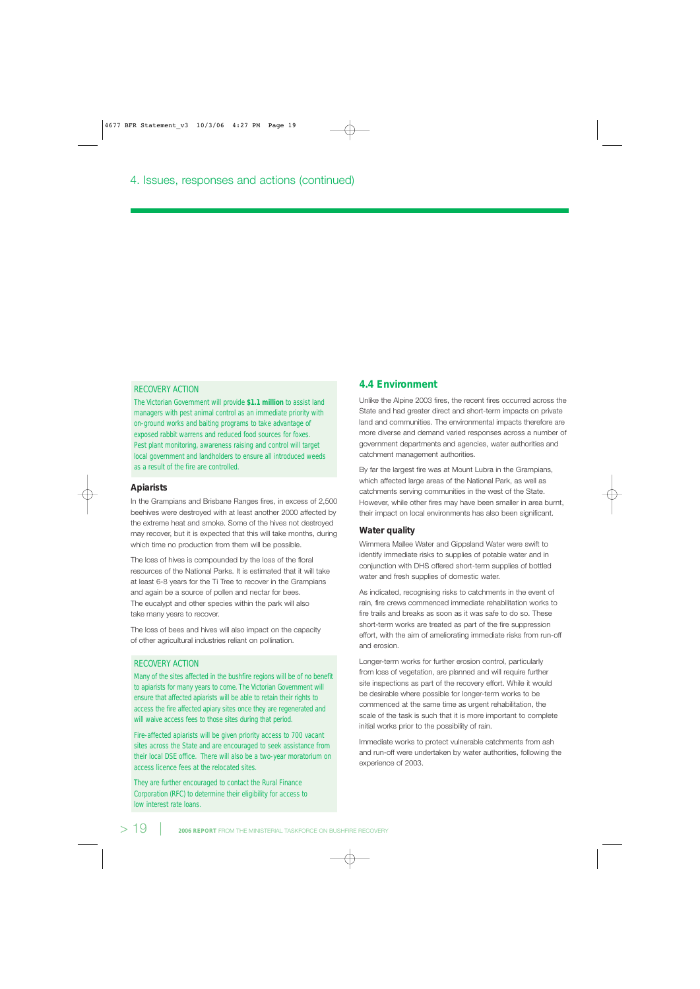#### RECOVERY ACTION

The Victorian Government will provide **\$1.1 million** to assist land managers with pest animal control as an immediate priority with on-ground works and baiting programs to take advantage of exposed rabbit warrens and reduced food sources for foxes. Pest plant monitoring, awareness raising and control will target local government and landholders to ensure all introduced weeds as a result of the fire are controlled.

#### **Apiarists**

In the Grampians and Brisbane Ranges fires, in excess of 2,500 beehives were destroyed with at least another 2000 affected by the extreme heat and smoke. Some of the hives not destroyed may recover, but it is expected that this will take months, during which time no production from them will be possible.

The loss of hives is compounded by the loss of the floral resources of the National Parks. It is estimated that it will take at least 6-8 years for the Ti Tree to recover in the Grampians and again be a source of pollen and nectar for bees. The eucalypt and other species within the park will also take many years to recover.

The loss of bees and hives will also impact on the capacity of other agricultural industries reliant on pollination.

#### RECOVERY ACTION

Many of the sites affected in the bushfire regions will be of no benefit to apiarists for many years to come. The Victorian Government will ensure that affected apiarists will be able to retain their rights to access the fire affected apiary sites once they are regenerated and will waive access fees to those sites during that period.

Fire-affected apiarists will be given priority access to 700 vacant sites across the State and are encouraged to seek assistance from their local DSE office. There will also be a two-year moratorium on access licence fees at the relocated sites.

They are further encouraged to contact the Rural Finance Corporation (RFC) to determine their eligibility for access to low interest rate loans.

## **4.4 Environment**

Unlike the Alpine 2003 fires, the recent fires occurred across the State and had greater direct and short-term impacts on private land and communities. The environmental impacts therefore are more diverse and demand varied responses across a number of government departments and agencies, water authorities and catchment management authorities.

By far the largest fire was at Mount Lubra in the Grampians, which affected large areas of the National Park, as well as catchments serving communities in the west of the State. However, while other fires may have been smaller in area burnt, their impact on local environments has also been significant.

#### **Water quality**

Wimmera Mallee Water and Gippsland Water were swift to identify immediate risks to supplies of potable water and in conjunction with DHS offered short-term supplies of bottled water and fresh supplies of domestic water.

As indicated, recognising risks to catchments in the event of rain, fire crews commenced immediate rehabilitation works to fire trails and breaks as soon as it was safe to do so. These short-term works are treated as part of the fire suppression effort, with the aim of ameliorating immediate risks from run-off and erosion.

Longer-term works for further erosion control, particularly from loss of vegetation, are planned and will require further site inspections as part of the recovery effort. While it would be desirable where possible for longer-term works to be commenced at the same time as urgent rehabilitation, the scale of the task is such that it is more important to complete initial works prior to the possibility of rain.

Immediate works to protect vulnerable catchments from ash and run-off were undertaken by water authorities, following the experience of 2003.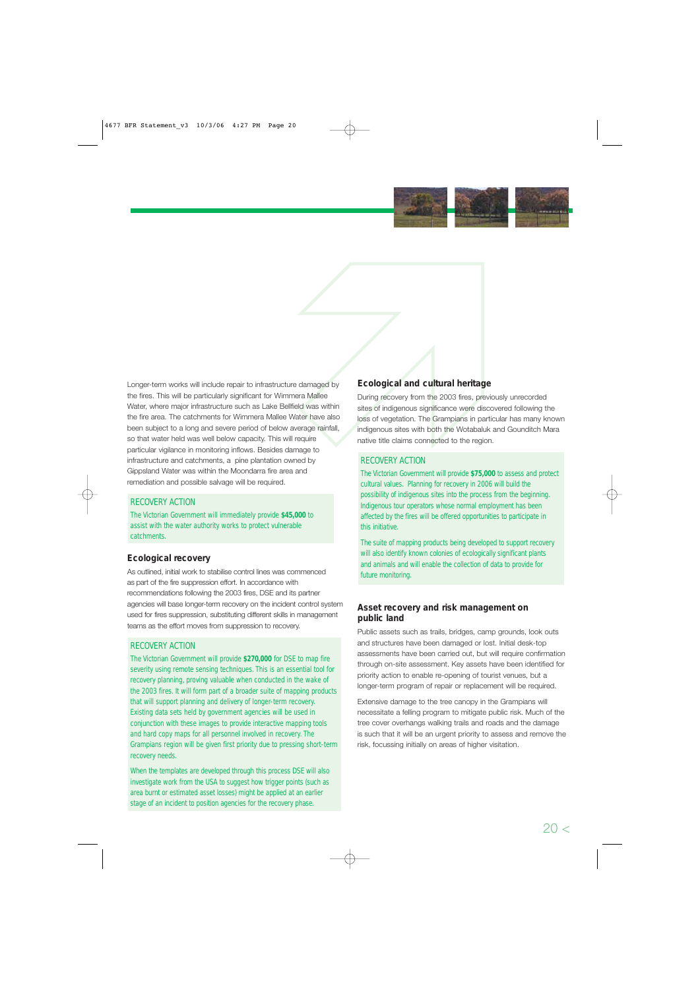

Longer-term works will include repair to infrastructure damaged by the fires. This will be particularly significant for Wimmera Mallee Water, where major infrastructure such as Lake Bellfield was within the fire area. The catchments for Wimmera Mallee Water have also been subject to a long and severe period of below average rainfall, so that water held was well below capacity. This will require particular vigilance in monitoring inflows. Besides damage to infrastructure and catchments, a pine plantation owned by Gippsland Water was within the Moondarra fire area and remediation and possible salvage will be required.

# RECOVERY ACTION

The Victorian Government will immediately provide **\$45,000** to assist with the water authority works to protect vulnerable catchments.

# **Ecological recovery**

As outlined, initial work to stabilise control lines was commenced as part of the fire suppression effort. In accordance with recommendations following the 2003 fires, DSE and its partner agencies will base longer-term recovery on the incident control system used for fires suppression, substituting different skills in management teams as the effort moves from suppression to recovery.

# RECOVERY ACTION

The Victorian Government will provide **\$270,000** for DSE to map fire severity using remote sensing techniques. This is an essential tool for recovery planning, proving valuable when conducted in the wake of the 2003 fires. It will form part of a broader suite of mapping products that will support planning and delivery of longer-term recovery. Existing data sets held by government agencies will be used in conjunction with these images to provide interactive mapping tools and hard copy maps for all personnel involved in recovery. The Grampians region will be given first priority due to pressing short-term recovery needs.

When the templates are developed through this process DSE will also investigate work from the USA to suggest how trigger points (such as area burnt or estimated asset losses) might be applied at an earlier stage of an incident to position agencies for the recovery phase.

# **Ecological and cultural heritage**

Ecological and cultural heritary<br>
a Mallee During recovery from the 2003 fires, pr<br>
d was within sites of indigenous significance were diverse and<br>
the Vietname and Superior (State of Vietname)<br>
and the Vietname matter tha During recovery from the 2003 fires, previously unrecorded sites of indigenous significance were discovered following the loss of vegetation. The Grampians in particular has many known indigenous sites with both the Wotabaluk and Gounditch Mara native title claims connected to the region.

# RECOVERY ACTION

The Victorian Government will provide **\$75,000** to assess and protect cultural values. Planning for recovery in 2006 will build the possibility of indigenous sites into the process from the beginning. Indigenous tour operators whose normal employment has been affected by the fires will be offered opportunities to participate in this initiative.

The suite of mapping products being developed to support recovery will also identify known colonies of ecologically significant plants and animals and will enable the collection of data to provide for future monitoring.

# **Asset recovery and risk management on public land**

Public assets such as trails, bridges, camp grounds, look outs and structures have been damaged or lost. Initial desk-top assessments have been carried out, but will require confirmation through on-site assessment. Key assets have been identified for priority action to enable re-opening of tourist venues, but a longer-term program of repair or replacement will be required.

Extensive damage to the tree canopy in the Grampians will necessitate a felling program to mitigate public risk. Much of the tree cover overhangs walking trails and roads and the damage is such that it will be an urgent priority to assess and remove the risk, focussing initially on areas of higher visitation.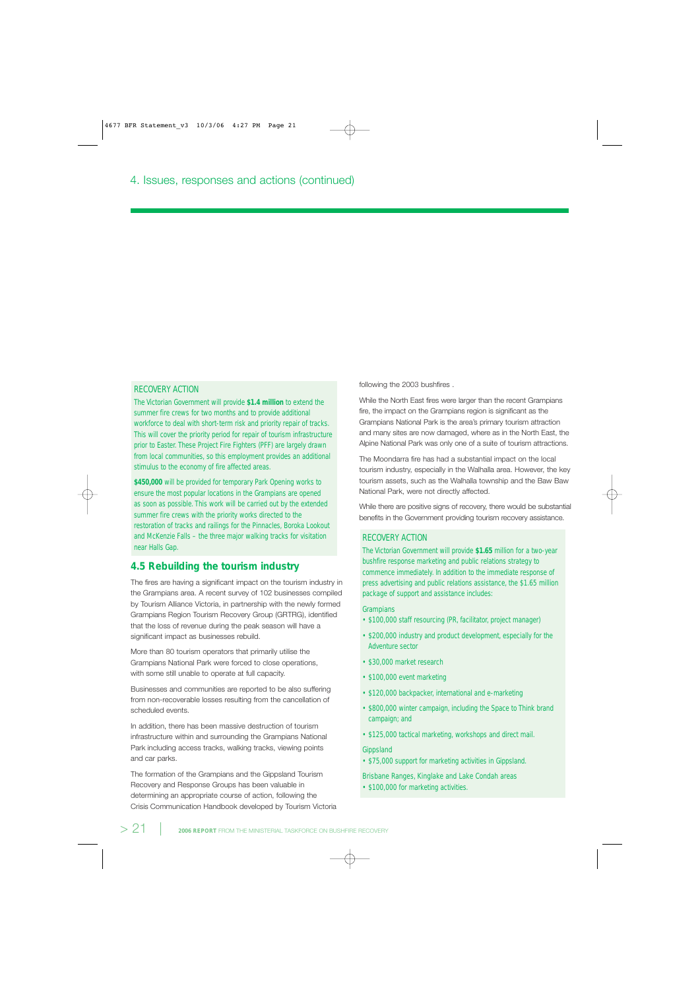#### RECOVERY ACTION

The Victorian Government will provide **\$1.4 million** to extend the summer fire crews for two months and to provide additional workforce to deal with short-term risk and priority repair of tracks. This will cover the priority period for repair of tourism infrastructure prior to Easter. These Project Fire Fighters (PFF) are largely drawn from local communities, so this employment provides an additional stimulus to the economy of fire affected areas.

**\$450,000** will be provided for temporary Park Opening works to ensure the most popular locations in the Grampians are opened as soon as possible. This work will be carried out by the extended summer fire crews with the priority works directed to the restoration of tracks and railings for the Pinnacles, Boroka Lookout and McKenzie Falls – the three major walking tracks for visitation near Halls Gap.

# **4.5 Rebuilding the tourism industry**

The fires are having a significant impact on the tourism industry in the Grampians area. A recent survey of 102 businesses compiled by Tourism Alliance Victoria, in partnership with the newly formed Grampians Region Tourism Recovery Group (GRTRG), identified that the loss of revenue during the peak season will have a significant impact as businesses rebuild.

More than 80 tourism operators that primarily utilise the Grampians National Park were forced to close operations, with some still unable to operate at full capacity.

Businesses and communities are reported to be also suffering from non-recoverable losses resulting from the cancellation of scheduled events.

In addition, there has been massive destruction of tourism infrastructure within and surrounding the Grampians National Park including access tracks, walking tracks, viewing points and car parks.

The formation of the Grampians and the Gippsland Tourism Recovery and Response Groups has been valuable in determining an appropriate course of action, following the Crisis Communication Handbook developed by Tourism Victoria following the 2003 bushfires .

While the North East fires were larger than the recent Grampians fire, the impact on the Grampians region is significant as the Grampians National Park is the area's primary tourism attraction and many sites are now damaged, where as in the North East, the Alpine National Park was only one of a suite of tourism attractions.

The Moondarra fire has had a substantial impact on the local tourism industry, especially in the Walhalla area. However, the key tourism assets, such as the Walhalla township and the Baw Baw National Park, were not directly affected.

While there are positive signs of recovery, there would be substantial benefits in the Government providing tourism recovery assistance.

#### RECOVERY ACTION

The Victorian Government will provide **\$1.65** million for a two-year bushfire response marketing and public relations strategy to commence immediately. In addition to the immediate response of press advertising and public relations assistance, the \$1.65 million package of support and assistance includes:

#### **Grampians**

- \$100,000 staff resourcing (PR, facilitator, project manager)
- \$200,000 industry and product development, especially for the Adventure sector
- \$30,000 market research
- \$100,000 event marketing
- \$120,000 backpacker, international and e-marketing
- \$800,000 winter campaign, including the Space to Think brand campaign; and
- \$125,000 tactical marketing, workshops and direct mail.

#### Gippsland

• \$75,000 support for marketing activities in Gippsland.

Brisbane Ranges, Kinglake and Lake Condah areas

• \$100,000 for marketing activities.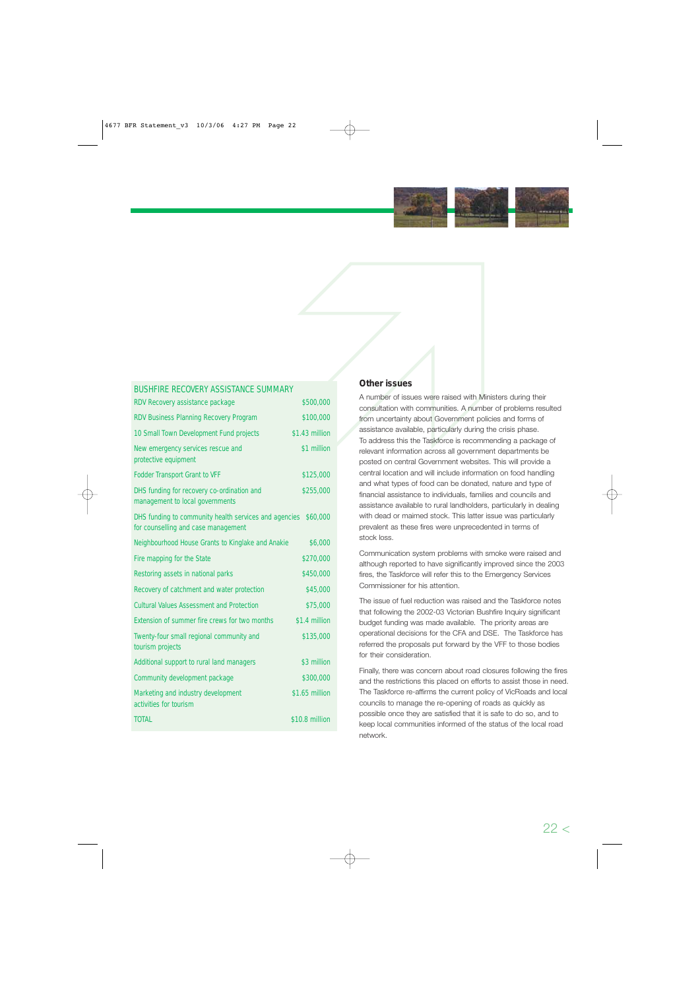

#### BUSHFIRE RECOVERY ASSISTANCE SUMMARY

| RDV Recovery assistance package                                                              | \$500,000      |
|----------------------------------------------------------------------------------------------|----------------|
| RDV Business Planning Recovery Program                                                       | \$100,000      |
| 10 Small Town Development Fund projects                                                      | \$1.43 million |
| New emergency services rescue and<br>protective equipment                                    | \$1 million    |
| <b>Fodder Transport Grant to VFF</b>                                                         | \$125,000      |
| DHS funding for recovery co-ordination and<br>management to local governments                | \$255,000      |
| DHS funding to community health services and agencies<br>for counselling and case management | \$60,000       |
| Neighbourhood House Grants to Kinglake and Anakie                                            | \$6,000        |
| Fire mapping for the State                                                                   | \$270,000      |
| Restoring assets in national parks                                                           | \$450,000      |
| Recovery of catchment and water protection                                                   | \$45,000       |
| <b>Cultural Values Assessment and Protection</b>                                             | \$75,000       |
| Extension of summer fire crews for two months                                                | \$1.4 million  |
| Twenty-four small regional community and<br>tourism projects                                 | \$135,000      |
| Additional support to rural land managers                                                    | \$3 million    |
| Community development package                                                                | \$300,000      |
| Marketing and industry development<br>activities for tourism                                 | \$1.65 million |
| <b>TOTAL</b>                                                                                 | \$10.8 million |

## **Other issues**

A number of issues were raised with Ministers during their consultation with communities. A number of problems resulted from uncertainty about Government policies and forms of assistance available, particularly during the crisis phase. To address this the Taskforce is recommending a package of relevant information across all government departments be posted on central Government websites. This will provide a central location and will include information on food handling and what types of food can be donated, nature and type of financial assistance to individuals, families and councils and assistance available to rural landholders, particularly in dealing with dead or maimed stock. This latter issue was particularly prevalent as these fires were unprecedented in terms of stock loss. **COMBUT CONSERVIGE CONSERVIGE SERVICES CONSERVIGE SERVICES**<br> **SECO,000** A number of issues were raised with Ministers during their<br>
ST00,000 from uncertainty about Government policies and forms of<br>
43 million assistance av

Communication system problems with smoke were raised and although reported to have significantly improved since the 2003 Commissioner for his attention.

The issue of fuel reduction was raised and the Taskforce notes that following the 2002-03 Victorian Bushfire Inquiry significant budget funding was made available. The priority areas are operational decisions for the CFA and DSE. The Taskforce has referred the proposals put forward by the VFF to those bodies for their consideration.

Finally, there was concern about road closures following the fires and the restrictions this placed on efforts to assist those in need. The Taskforce re-affirms the current policy of VicRoads and local councils to manage the re-opening of roads as quickly as possible once they are satisfied that it is safe to do so, and to keep local communities informed of the status of the local road network.